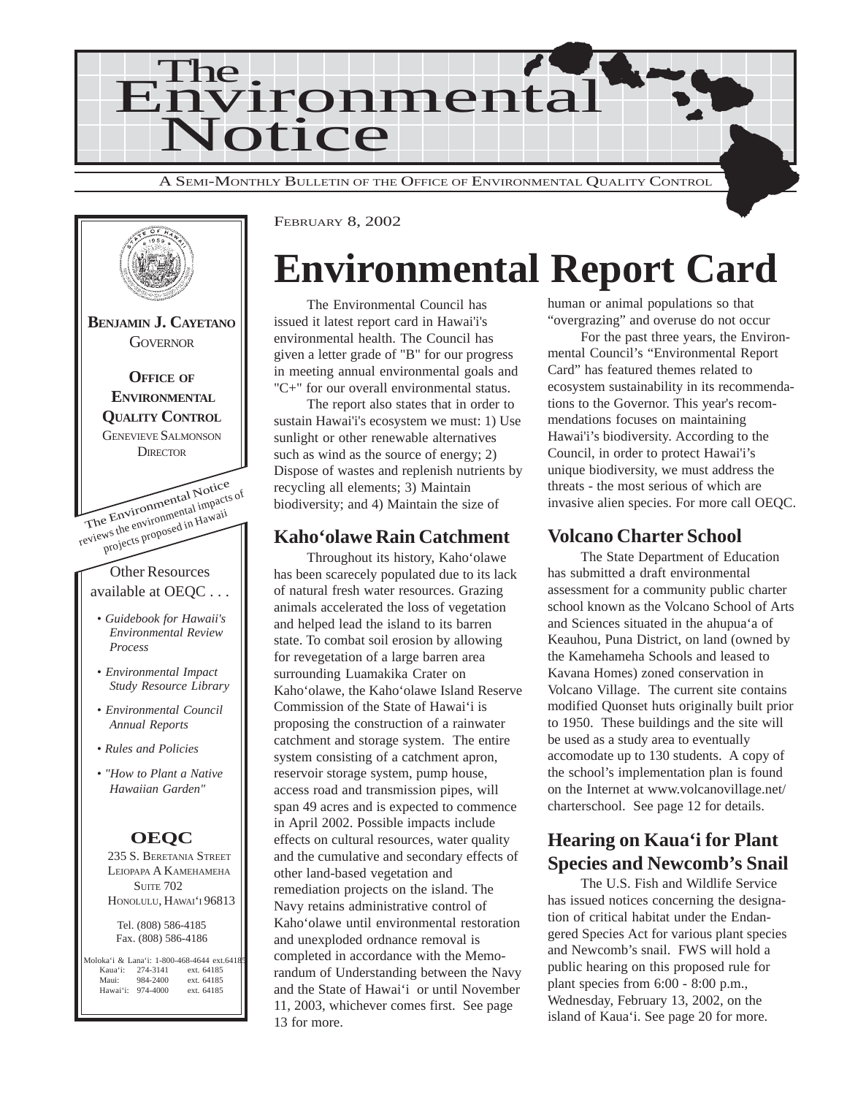



# **Environmental Report Card**

The Environmental Council has issued it latest report card in Hawai'i's environmental health. The Council has given a letter grade of "B" for our progress in meeting annual environmental goals and "C+" for our overall environmental status.

The report also states that in order to sustain Hawai'i's ecosystem we must: 1) Use sunlight or other renewable alternatives such as wind as the source of energy; 2) Dispose of wastes and replenish nutrients by recycling all elements; 3) Maintain biodiversity; and 4) Maintain the size of

### **Kaho'olawe Rain Catchment**

Throughout its history, Kaho'olawe has been scarecely populated due to its lack of natural fresh water resources. Grazing animals accelerated the loss of vegetation and helped lead the island to its barren state. To combat soil erosion by allowing for revegetation of a large barren area surrounding Luamakika Crater on Kaho'olawe, the Kaho'olawe Island Reserve Commission of the State of Hawai'i is proposing the construction of a rainwater catchment and storage system. The entire system consisting of a catchment apron, reservoir storage system, pump house, access road and transmission pipes, will span 49 acres and is expected to commence in April 2002. Possible impacts include effects on cultural resources, water quality and the cumulative and secondary effects of other land-based vegetation and remediation projects on the island. The Navy retains administrative control of Kaho'olawe until environmental restoration and unexploded ordnance removal is completed in accordance with the Memorandum of Understanding between the Navy and the State of Hawai'i or until November 11, 2003, whichever comes first. See page 13 for more.

human or animal populations so that "overgrazing" and overuse do not occur

For the past three years, the Environmental Council's "Environmental Report Card" has featured themes related to ecosystem sustainability in its recommendations to the Governor. This year's recommendations focuses on maintaining Hawai'i's biodiversity. According to the Council, in order to protect Hawai'i's unique biodiversity, we must address the threats - the most serious of which are invasive alien species. For more call OEQC.

## **Volcano Charter School**

The State Department of Education has submitted a draft environmental assessment for a community public charter school known as the Volcano School of Arts and Sciences situated in the ahupua'a of Keauhou, Puna District, on land (owned by the Kamehameha Schools and leased to Kavana Homes) zoned conservation in Volcano Village. The current site contains modified Quonset huts originally built prior to 1950. These buildings and the site will be used as a study area to eventually accomodate up to 130 students. A copy of the school's implementation plan is found on the Internet at www.volcanovillage.net/ charterschool. See page 12 for details.

## **Hearing on Kaua'i for Plant Species and Newcomb's Snail**

The U.S. Fish and Wildlife Service has issued notices concerning the designation of critical habitat under the Endangered Species Act for various plant species and Newcomb's snail. FWS will hold a public hearing on this proposed rule for plant species from 6:00 - 8:00 p.m., Wednesday, February 13, 2002, on the island of Kaua'i. See page 20 for more.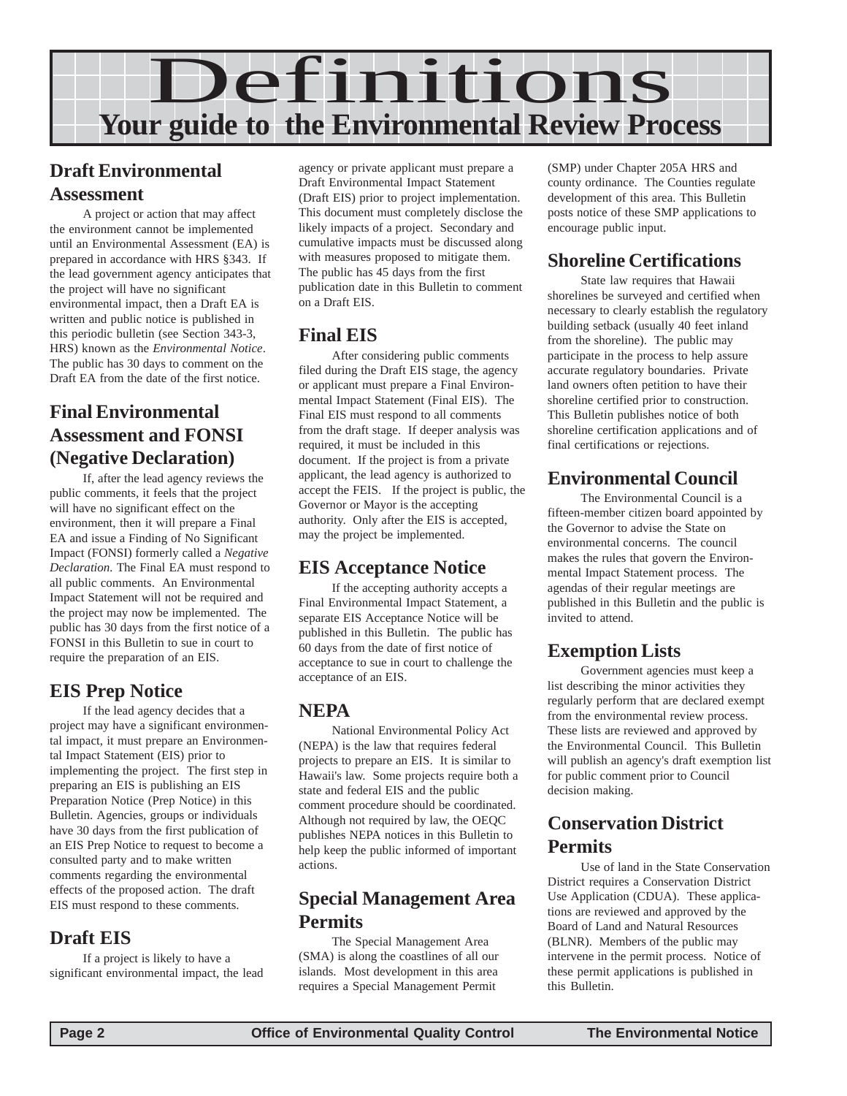

# **Draft Environmental Assessment**

A project or action that may affect the environment cannot be implemented until an Environmental Assessment (EA) is prepared in accordance with HRS §343. If the lead government agency anticipates that the project will have no significant environmental impact, then a Draft EA is written and public notice is published in this periodic bulletin (see Section 343-3, HRS) known as the *Environmental Notice*. The public has 30 days to comment on the Draft EA from the date of the first notice.

# **Final Environmental Assessment and FONSI (Negative Declaration)**

If, after the lead agency reviews the public comments, it feels that the project will have no significant effect on the environment, then it will prepare a Final EA and issue a Finding of No Significant Impact (FONSI) formerly called a *Negative Declaration.* The Final EA must respond to all public comments. An Environmental Impact Statement will not be required and the project may now be implemented. The public has 30 days from the first notice of a FONSI in this Bulletin to sue in court to require the preparation of an EIS.

# **EIS Prep Notice**

If the lead agency decides that a project may have a significant environmental impact, it must prepare an Environmental Impact Statement (EIS) prior to implementing the project. The first step in preparing an EIS is publishing an EIS Preparation Notice (Prep Notice) in this Bulletin. Agencies, groups or individuals have 30 days from the first publication of an EIS Prep Notice to request to become a consulted party and to make written comments regarding the environmental effects of the proposed action. The draft EIS must respond to these comments.

## **Draft EIS**

If a project is likely to have a significant environmental impact, the lead

agency or private applicant must prepare a Draft Environmental Impact Statement (Draft EIS) prior to project implementation. This document must completely disclose the likely impacts of a project. Secondary and cumulative impacts must be discussed along with measures proposed to mitigate them. The public has 45 days from the first publication date in this Bulletin to comment on a Draft EIS.

### **Final EIS**

After considering public comments filed during the Draft EIS stage, the agency or applicant must prepare a Final Environmental Impact Statement (Final EIS). The Final EIS must respond to all comments from the draft stage. If deeper analysis was required, it must be included in this document. If the project is from a private applicant, the lead agency is authorized to accept the FEIS. If the project is public, the Governor or Mayor is the accepting authority. Only after the EIS is accepted, may the project be implemented.

## **EIS Acceptance Notice**

If the accepting authority accepts a Final Environmental Impact Statement, a separate EIS Acceptance Notice will be published in this Bulletin. The public has 60 days from the date of first notice of acceptance to sue in court to challenge the acceptance of an EIS.

# **NEPA**

National Environmental Policy Act (NEPA) is the law that requires federal projects to prepare an EIS. It is similar to Hawaii's law. Some projects require both a state and federal EIS and the public comment procedure should be coordinated. Although not required by law, the OEQC publishes NEPA notices in this Bulletin to help keep the public informed of important actions.

## **Special Management Area Permits**

The Special Management Area (SMA) is along the coastlines of all our islands. Most development in this area requires a Special Management Permit

(SMP) under Chapter 205A HRS and county ordinance. The Counties regulate development of this area. This Bulletin posts notice of these SMP applications to encourage public input.

# **Shoreline Certifications**

State law requires that Hawaii shorelines be surveyed and certified when necessary to clearly establish the regulatory building setback (usually 40 feet inland from the shoreline). The public may participate in the process to help assure accurate regulatory boundaries. Private land owners often petition to have their shoreline certified prior to construction. This Bulletin publishes notice of both shoreline certification applications and of final certifications or rejections.

# **Environmental Council**

The Environmental Council is a fifteen-member citizen board appointed by the Governor to advise the State on environmental concerns. The council makes the rules that govern the Environmental Impact Statement process. The agendas of their regular meetings are published in this Bulletin and the public is invited to attend.

# **Exemption Lists**

Government agencies must keep a list describing the minor activities they regularly perform that are declared exempt from the environmental review process. These lists are reviewed and approved by the Environmental Council. This Bulletin will publish an agency's draft exemption list for public comment prior to Council decision making.

# **Conservation District Permits**

Use of land in the State Conservation District requires a Conservation District Use Application (CDUA). These applications are reviewed and approved by the Board of Land and Natural Resources (BLNR). Members of the public may intervene in the permit process. Notice of these permit applications is published in this Bulletin.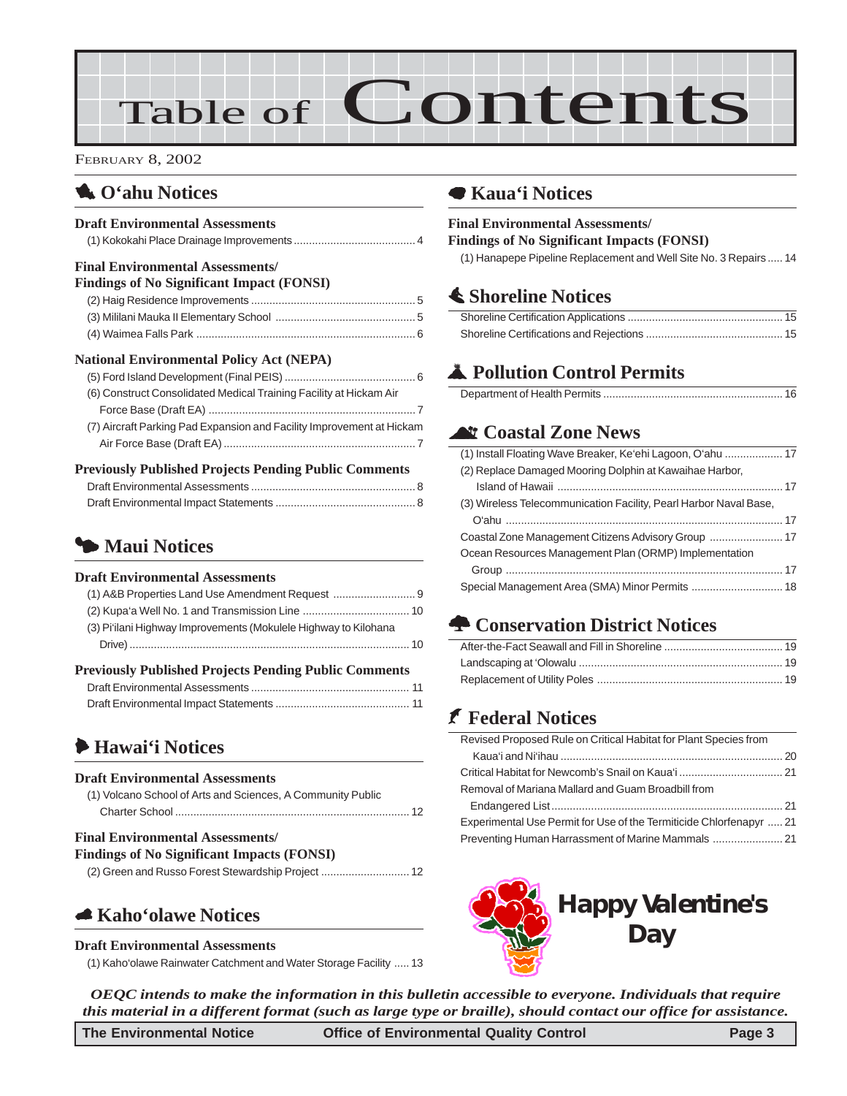

# 1 **O'ahu Notices**

#### **Draft Environmental Assessments**

|--|

#### **Final Environmental Assessments/**

| <b>Findings of No Significant Impact (FONSI)</b> |  |
|--------------------------------------------------|--|
|                                                  |  |
|                                                  |  |
|                                                  |  |

#### **National Environmental Policy Act (NEPA)**

| (6) Construct Consolidated Medical Training Facility at Hickam Air    |
|-----------------------------------------------------------------------|
|                                                                       |
| (7) Aircraft Parking Pad Expansion and Facility Improvement at Hickam |
|                                                                       |

#### **Previously Published Projects Pending Public Comments**

## 3 **Maui Notices**

#### **Draft Environmental Assessments**

| <b>Previously Published Projects Pending Public Comments</b>    |  |
|-----------------------------------------------------------------|--|
|                                                                 |  |
| (3) Pi'ilani Highway Improvements (Mokulele Highway to Kilohana |  |
|                                                                 |  |
|                                                                 |  |

# 6 **Hawai'i Notices**

#### **Draft Environmental Assessments**

| (1) Volcano School of Arts and Sciences, A Community Public |  |
|-------------------------------------------------------------|--|
|                                                             |  |

#### **Final Environmental Assessments/**

```
Findings of No Significant Impacts (FONSI)
(2) Green and Russo Forest Stewardship Project ............................. 12
```
# 5 **Kaho'olawe Notices**

#### **Draft Environmental Assessments**

[\(1\) Kaho'olawe Rainwater Catchment and Water Storage Facility](#page-12-0) ..... 13

# 7 **Kaua'i Notices**

# **Final Environmental Assessments/**

**Findings of No Significant Impacts (FONSI)**

[\(1\) Hanapepe Pipeline Replacement and Well Site No. 3 Repairs ..... 14](#page-13-0)

# s **Shoreline Notices**

# V **Pollution Control Permits**

|--|--|

# ^ **Coastal Zone News**

| (1) Install Floating Wave Breaker, Ke'ehi Lagoon, O'ahu  17       |  |
|-------------------------------------------------------------------|--|
| (2) Replace Damaged Mooring Dolphin at Kawaihae Harbor,           |  |
|                                                                   |  |
| (3) Wireless Telecommunication Facility, Pearl Harbor Naval Base, |  |
|                                                                   |  |
|                                                                   |  |
| Ocean Resources Management Plan (ORMP) Implementation             |  |
|                                                                   |  |
| Special Management Area (SMA) Minor Permits  18                   |  |
|                                                                   |  |

# **n** Conservation District Notices

# J **Federal Notices**

| Revised Proposed Rule on Critical Habitat for Plant Species from    |  |
|---------------------------------------------------------------------|--|
|                                                                     |  |
|                                                                     |  |
| Removal of Mariana Mallard and Guam Broadbill from                  |  |
|                                                                     |  |
| Experimental Use Permit for Use of the Termiticide Chlorfenapyr  21 |  |
|                                                                     |  |
|                                                                     |  |



*OEQC intends to make the information in this bulletin accessible to everyone. Individuals that require this material in a different format (such as large type or braille), should contact our office for assistance.*

**The Environmental Notice Office of Environmental Quality Control Page 3**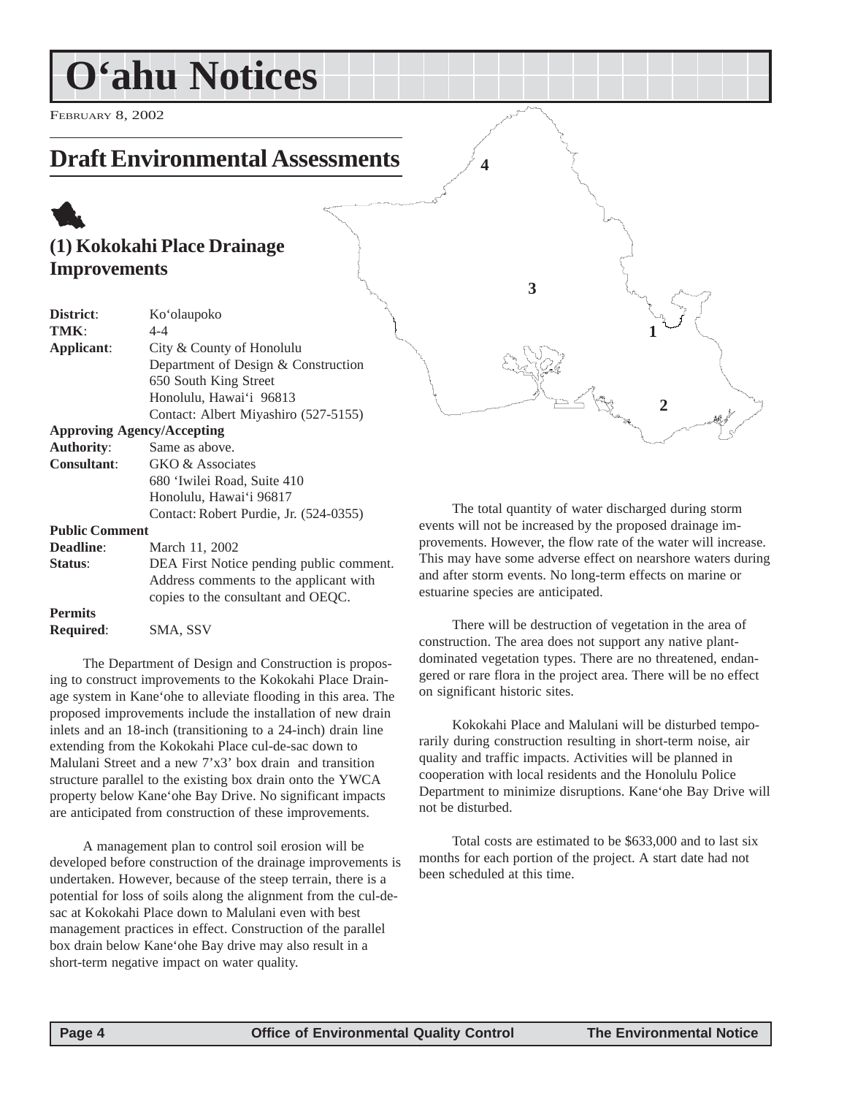<span id="page-3-0"></span>FEBRUARY 8, 2002

# **Draft Environmental Assessments**

# 1 **(1) Kokokahi Place Drainage Improvements**

| District:             | Ko'olaupoko                              |  |
|-----------------------|------------------------------------------|--|
| TMK:                  | $4 - 4$                                  |  |
| Applicant:            | City & County of Honolulu                |  |
|                       | Department of Design & Construction      |  |
|                       | 650 South King Street                    |  |
|                       | Honolulu, Hawai'i 96813                  |  |
|                       | Contact: Albert Miyashiro (527-5155)     |  |
|                       | <b>Approving Agency/Accepting</b>        |  |
| <b>Authority:</b>     | Same as above.                           |  |
| <b>Consultant:</b>    | GKO & Associates                         |  |
|                       | 680 'Iwilei Road, Suite 410              |  |
|                       | Honolulu, Hawai'i 96817                  |  |
|                       | Contact: Robert Purdie, Jr. (524-0355)   |  |
| <b>Public Comment</b> |                                          |  |
| Deadline:             | March 11, 2002                           |  |
| Status:               | DEA First Notice pending public comment. |  |
|                       | Address comments to the applicant with   |  |
|                       | copies to the consultant and OEQC.       |  |
| <b>Permits</b>        |                                          |  |

**Required**: SMA, SSV

The Department of Design and Construction is proposing to construct improvements to the Kokokahi Place Drainage system in Kane'ohe to alleviate flooding in this area. The proposed improvements include the installation of new drain inlets and an 18-inch (transitioning to a 24-inch) drain line extending from the Kokokahi Place cul-de-sac down to Malulani Street and a new 7'x3' box drain and transition structure parallel to the existing box drain onto the YWCA property below Kane'ohe Bay Drive. No significant impacts are anticipated from construction of these improvements.

A management plan to control soil erosion will be developed before construction of the drainage improvements is undertaken. However, because of the steep terrain, there is a potential for loss of soils along the alignment from the cul-desac at Kokokahi Place down to Malulani even with best management practices in effect. Construction of the parallel box drain below Kane'ohe Bay drive may also result in a short-term negative impact on water quality.

The total quantity of water discharged during storm events will not be increased by the proposed drainage improvements. However, the flow rate of the water will increase. This may have some adverse effect on nearshore waters during and after storm events. No long-term effects on marine or estuarine species are anticipated.

**3**

**4**

**2**

**1**

There will be destruction of vegetation in the area of construction. The area does not support any native plantdominated vegetation types. There are no threatened, endangered or rare flora in the project area. There will be no effect on significant historic sites.

Kokokahi Place and Malulani will be disturbed temporarily during construction resulting in short-term noise, air quality and traffic impacts. Activities will be planned in cooperation with local residents and the Honolulu Police Department to minimize disruptions. Kane'ohe Bay Drive will not be disturbed.

Total costs are estimated to be \$633,000 and to last six months for each portion of the project. A start date had not been scheduled at this time.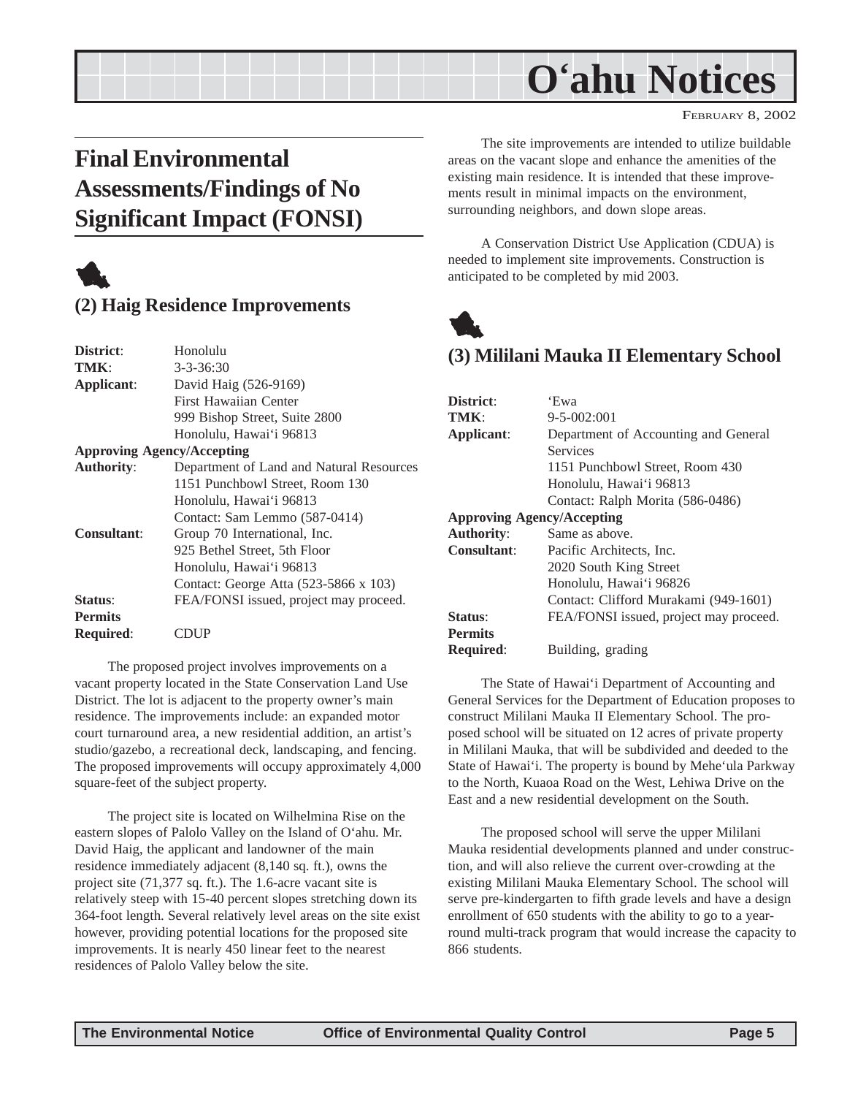#### FEBRUARY 8, 2002

# <span id="page-4-0"></span>**Final Environmental Assessments/Findings of No Significant Impact (FONSI)**



## **(2) Haig Residence Improvements**

| District:          | Honolulu                                 |
|--------------------|------------------------------------------|
| TMK:               | $3 - 3 - 36:30$                          |
| Applicant:         | David Haig (526-9169)                    |
|                    | First Hawaiian Center                    |
|                    | 999 Bishop Street, Suite 2800            |
|                    | Honolulu, Hawai'i 96813                  |
|                    | <b>Approving Agency/Accepting</b>        |
| <b>Authority:</b>  | Department of Land and Natural Resources |
|                    | 1151 Punchbowl Street, Room 130          |
|                    | Honolulu, Hawai'i 96813                  |
|                    | Contact: Sam Lemmo (587-0414)            |
| <b>Consultant:</b> | Group 70 International, Inc.             |
|                    | 925 Bethel Street, 5th Floor             |
|                    | Honolulu, Hawai'i 96813                  |
|                    | Contact: George Atta (523-5866 x 103)    |
| Status:            | FEA/FONSI issued, project may proceed.   |
| <b>Permits</b>     |                                          |
| <b>Required:</b>   |                                          |
|                    |                                          |

The proposed project involves improvements on a vacant property located in the State Conservation Land Use District. The lot is adjacent to the property owner's main residence. The improvements include: an expanded motor court turnaround area, a new residential addition, an artist's studio/gazebo, a recreational deck, landscaping, and fencing. The proposed improvements will occupy approximately 4,000 square-feet of the subject property.

The project site is located on Wilhelmina Rise on the eastern slopes of Palolo Valley on the Island of O'ahu. Mr. David Haig, the applicant and landowner of the main residence immediately adjacent (8,140 sq. ft.), owns the project site (71,377 sq. ft.). The 1.6-acre vacant site is relatively steep with 15-40 percent slopes stretching down its 364-foot length. Several relatively level areas on the site exist however, providing potential locations for the proposed site improvements. It is nearly 450 linear feet to the nearest residences of Palolo Valley below the site.

The site improvements are intended to utilize buildable areas on the vacant slope and enhance the amenities of the existing main residence. It is intended that these improvements result in minimal impacts on the environment, surrounding neighbors, and down slope areas.

A Conservation District Use Application (CDUA) is needed to implement site improvements. Construction is anticipated to be completed by mid 2003.



## **(3) Mililani Mauka II Elementary School**

| District:                         | 'Ewa                                   |
|-----------------------------------|----------------------------------------|
| TMK:                              | $9 - 5 - 002:001$                      |
| Applicant:                        | Department of Accounting and General   |
|                                   | Services                               |
|                                   | 1151 Punchbowl Street, Room 430        |
|                                   | Honolulu, Hawai'i 96813                |
|                                   | Contact: Ralph Morita (586-0486)       |
| <b>Approving Agency/Accepting</b> |                                        |
| <b>Authority:</b>                 | Same as above.                         |
| <b>Consultant:</b>                | Pacific Architects, Inc.               |
|                                   | 2020 South King Street                 |
|                                   | Honolulu, Hawai'i 96826                |
|                                   | Contact: Clifford Murakami (949-1601)  |
| Status:                           | FEA/FONSI issued, project may proceed. |
| <b>Permits</b>                    |                                        |
| <b>Required:</b>                  | Building, grading                      |

The State of Hawai'i Department of Accounting and General Services for the Department of Education proposes to construct Mililani Mauka II Elementary School. The proposed school will be situated on 12 acres of private property in Mililani Mauka, that will be subdivided and deeded to the State of Hawai'i. The property is bound by Mehe'ula Parkway to the North, Kuaoa Road on the West, Lehiwa Drive on the East and a new residential development on the South.

The proposed school will serve the upper Mililani Mauka residential developments planned and under construction, and will also relieve the current over-crowding at the existing Mililani Mauka Elementary School. The school will serve pre-kindergarten to fifth grade levels and have a design enrollment of 650 students with the ability to go to a yearround multi-track program that would increase the capacity to 866 students.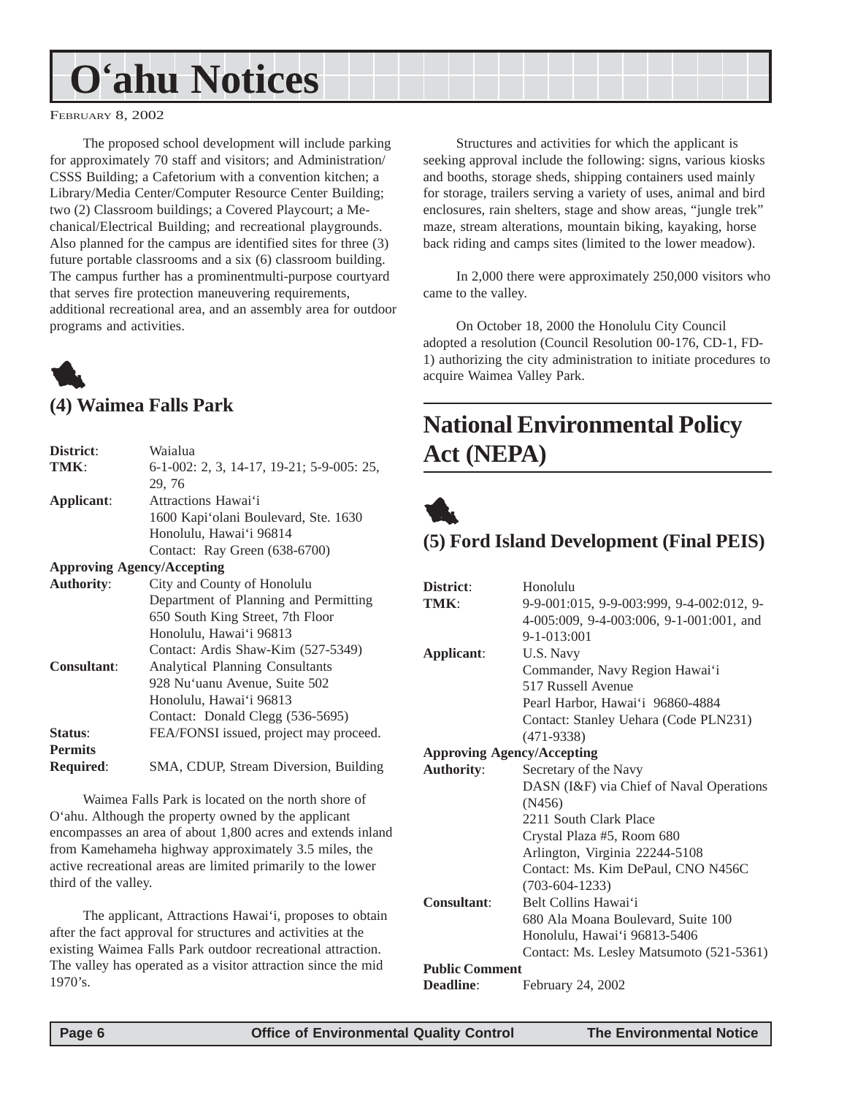#### <span id="page-5-0"></span>FEBRUARY 8, 2002

The proposed school development will include parking for approximately 70 staff and visitors; and Administration/ CSSS Building; a Cafetorium with a convention kitchen; a Library/Media Center/Computer Resource Center Building; two (2) Classroom buildings; a Covered Playcourt; a Mechanical/Electrical Building; and recreational playgrounds. Also planned for the campus are identified sites for three (3) future portable classrooms and a six (6) classroom building. The campus further has a prominentmulti-purpose courtyard that serves fire protection maneuvering requirements, additional recreational area, and an assembly area for outdoor programs and activities.

# 1 **(4) Waimea Falls Park**

| District:                         | Waialua                                   |
|-----------------------------------|-------------------------------------------|
| TMK:                              | 6-1-002: 2, 3, 14-17, 19-21; 5-9-005: 25, |
|                                   | 29, 76                                    |
| Applicant:                        | Attractions Hawai'i                       |
|                                   | 1600 Kapi'olani Boulevard, Ste. 1630      |
|                                   | Honolulu, Hawai'i 96814                   |
|                                   | Contact: Ray Green (638-6700)             |
| <b>Approving Agency/Accepting</b> |                                           |
| <b>Authority:</b>                 | City and County of Honolulu               |
|                                   | Department of Planning and Permitting     |
|                                   | 650 South King Street, 7th Floor          |
|                                   | Honolulu, Hawai'i 96813                   |
|                                   | Contact: Ardis Shaw-Kim (527-5349)        |
| <b>Consultant:</b>                | <b>Analytical Planning Consultants</b>    |
|                                   | 928 Nu'uanu Avenue, Suite 502             |
|                                   | Honolulu, Hawai'i 96813                   |
|                                   | Contact: Donald Clegg (536-5695)          |
| Status:                           | FEA/FONSI issued, project may proceed.    |
| <b>Permits</b>                    |                                           |
| Required:                         | SMA, CDUP, Stream Diversion, Building     |

Waimea Falls Park is located on the north shore of O'ahu. Although the property owned by the applicant encompasses an area of about 1,800 acres and extends inland from Kamehameha highway approximately 3.5 miles, the active recreational areas are limited primarily to the lower third of the valley.

The applicant, Attractions Hawai'i, proposes to obtain after the fact approval for structures and activities at the existing Waimea Falls Park outdoor recreational attraction. The valley has operated as a visitor attraction since the mid 1970's.

Structures and activities for which the applicant is seeking approval include the following: signs, various kiosks and booths, storage sheds, shipping containers used mainly for storage, trailers serving a variety of uses, animal and bird enclosures, rain shelters, stage and show areas, "jungle trek" maze, stream alterations, mountain biking, kayaking, horse back riding and camps sites (limited to the lower meadow).

In 2,000 there were approximately 250,000 visitors who came to the valley.

On October 18, 2000 the Honolulu City Council adopted a resolution (Council Resolution 00-176, CD-1, FD-1) authorizing the city administration to initiate procedures to acquire Waimea Valley Park.

# **National Environmental Policy Act (NEPA)**



## **(5) Ford Island Development (Final PEIS)**

| District:                         | Honolulu                                  |
|-----------------------------------|-------------------------------------------|
| TMK:                              | 9-9-001:015, 9-9-003:999, 9-4-002:012, 9- |
|                                   | 4-005:009, 9-4-003:006, 9-1-001:001, and  |
|                                   | $9 - 1 - 013:001$                         |
| Applicant:                        | U.S. Navy                                 |
|                                   | Commander, Navy Region Hawai'i            |
|                                   | 517 Russell Avenue                        |
|                                   | Pearl Harbor, Hawai'i 96860-4884          |
|                                   | Contact: Stanley Uehara (Code PLN231)     |
|                                   | $(471-9338)$                              |
| <b>Approving Agency/Accepting</b> |                                           |
| <b>Authority:</b>                 | Secretary of the Navy                     |
|                                   | DASN (I&F) via Chief of Naval Operations  |
|                                   | (N456)                                    |
|                                   | 2211 South Clark Place                    |
|                                   | Crystal Plaza #5, Room 680                |
|                                   | Arlington, Virginia 22244-5108            |
|                                   | Contact: Ms. Kim DePaul, CNO N456C        |
|                                   | $(703-604-1233)$                          |
| Consultant:                       | Belt Collins Hawai'i                      |
|                                   | 680 Ala Moana Boulevard, Suite 100        |
|                                   | Honolulu, Hawai'i 96813-5406              |
|                                   | Contact: Ms. Lesley Matsumoto (521-5361)  |
| <b>Public Comment</b>             |                                           |
| Deadline:                         | February 24, 2002                         |
|                                   |                                           |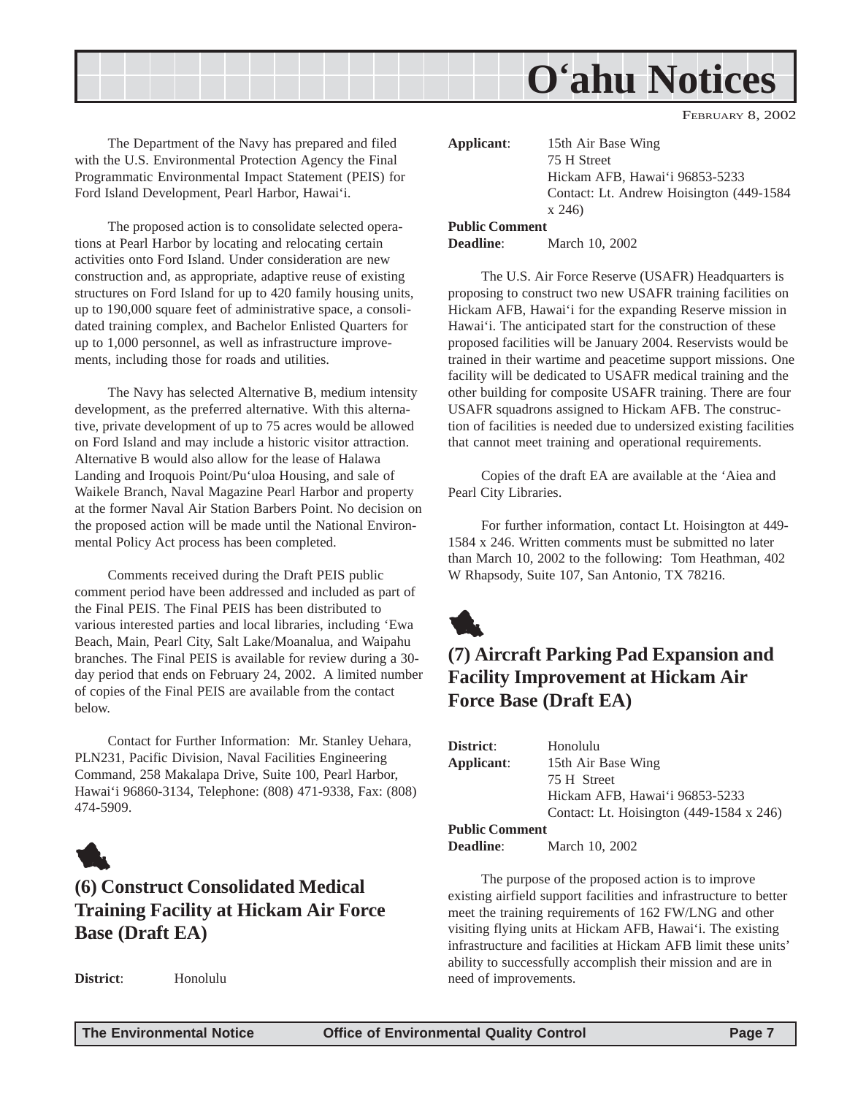<span id="page-6-0"></span>

The Department of the Navy has prepared and filed with the U.S. Environmental Protection Agency the Final Programmatic Environmental Impact Statement (PEIS) for Ford Island Development, Pearl Harbor, Hawai'i.

The proposed action is to consolidate selected operations at Pearl Harbor by locating and relocating certain activities onto Ford Island. Under consideration are new construction and, as appropriate, adaptive reuse of existing structures on Ford Island for up to 420 family housing units, up to 190,000 square feet of administrative space, a consolidated training complex, and Bachelor Enlisted Quarters for up to 1,000 personnel, as well as infrastructure improvements, including those for roads and utilities.

The Navy has selected Alternative B, medium intensity development, as the preferred alternative. With this alternative, private development of up to 75 acres would be allowed on Ford Island and may include a historic visitor attraction. Alternative B would also allow for the lease of Halawa Landing and Iroquois Point/Pu'uloa Housing, and sale of Waikele Branch, Naval Magazine Pearl Harbor and property at the former Naval Air Station Barbers Point. No decision on the proposed action will be made until the National Environmental Policy Act process has been completed.

Comments received during the Draft PEIS public comment period have been addressed and included as part of the Final PEIS. The Final PEIS has been distributed to various interested parties and local libraries, including 'Ewa Beach, Main, Pearl City, Salt Lake/Moanalua, and Waipahu branches. The Final PEIS is available for review during a 30 day period that ends on February 24, 2002. A limited number of copies of the Final PEIS are available from the contact below.

Contact for Further Information: Mr. Stanley Uehara, PLN231, Pacific Division, Naval Facilities Engineering Command, 258 Makalapa Drive, Suite 100, Pearl Harbor, Hawai'i 96860-3134, Telephone: (808) 471-9338, Fax: (808) 474-5909.



# **(6) Construct Consolidated Medical Training Facility at Hickam Air Force Base (Draft EA)**

**District**: Honolulu

**Applicant**: 15th Air Base Wing 75 H Street Hickam AFB, Hawai'i 96853-5233 Contact: Lt. Andrew Hoisington (449-1584 x 246) **Public Comment**

#### **Deadline**: March 10, 2002

The U.S. Air Force Reserve (USAFR) Headquarters is proposing to construct two new USAFR training facilities on Hickam AFB, Hawai'i for the expanding Reserve mission in Hawai'i. The anticipated start for the construction of these proposed facilities will be January 2004. Reservists would be trained in their wartime and peacetime support missions. One facility will be dedicated to USAFR medical training and the other building for composite USAFR training. There are four USAFR squadrons assigned to Hickam AFB. The construction of facilities is needed due to undersized existing facilities that cannot meet training and operational requirements.

Copies of the draft EA are available at the 'Aiea and Pearl City Libraries.

For further information, contact Lt. Hoisington at 449- 1584 x 246. Written comments must be submitted no later than March 10, 2002 to the following: Tom Heathman, 402 W Rhapsody, Suite 107, San Antonio, TX 78216.



# **(7) Aircraft Parking Pad Expansion and Facility Improvement at Hickam Air Force Base (Draft EA)**

| District:                                               | Honolulu                                        |
|---------------------------------------------------------|-------------------------------------------------|
| Applicant:                                              | 15th Air Base Wing                              |
|                                                         | 75 H Street                                     |
|                                                         | Hickam AFB, Hawai'i 96853-5233                  |
|                                                         | Contact: Lt. Hoisington $(449-1584 \times 246)$ |
| <b>Public Comment</b>                                   |                                                 |
| $\mathbf{D}_{\text{new}}$ and $\mathbf{D}_{\text{new}}$ | $M_{\text{c}}$ and $\Omega$                     |

**Deadline**: March 10, 2002

The purpose of the proposed action is to improve existing airfield support facilities and infrastructure to better meet the training requirements of 162 FW/LNG and other visiting flying units at Hickam AFB, Hawai'i. The existing infrastructure and facilities at Hickam AFB limit these units' ability to successfully accomplish their mission and are in need of improvements.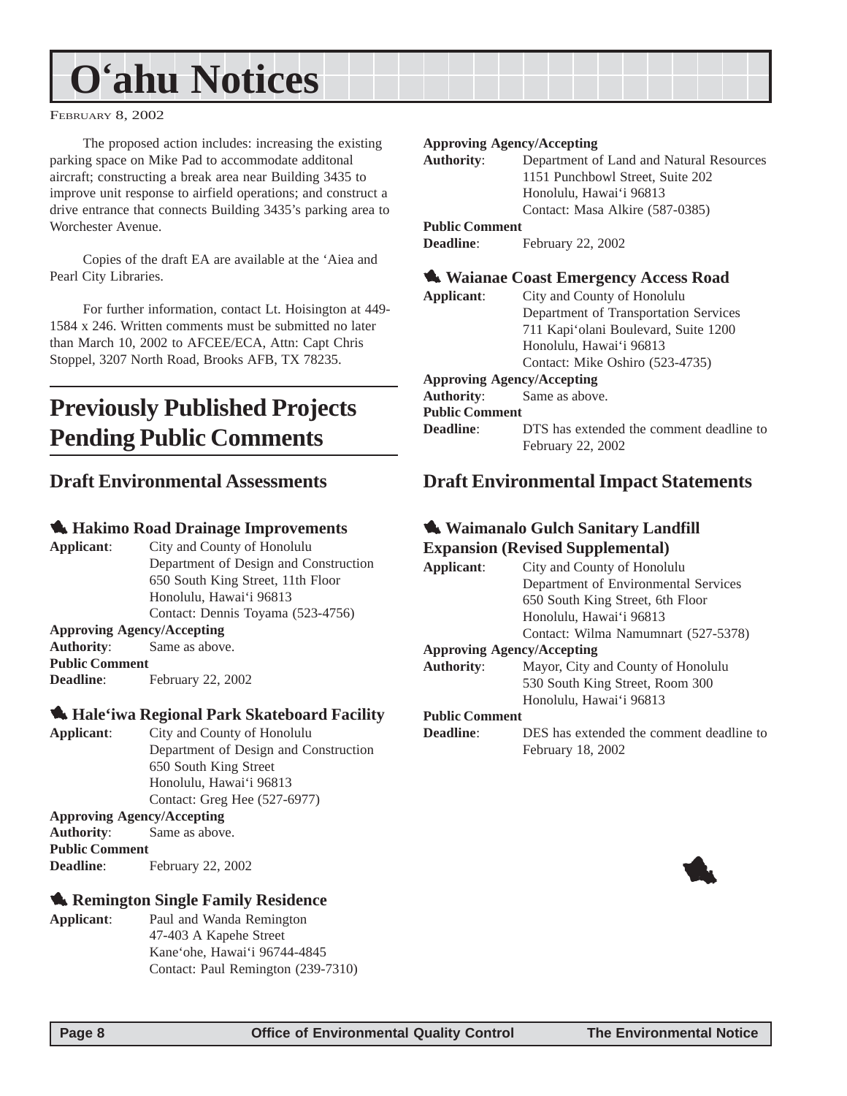<span id="page-7-0"></span>FEBRUARY 8, 2002

The proposed action includes: increasing the existing parking space on Mike Pad to accommodate additonal aircraft; constructing a break area near Building 3435 to improve unit response to airfield operations; and construct a drive entrance that connects Building 3435's parking area to Worchester Avenue.

Copies of the draft EA are available at the 'Aiea and Pearl City Libraries.

For further information, contact Lt. Hoisington at 449- 1584 x 246. Written comments must be submitted no later than March 10, 2002 to AFCEE/ECA, Attn: Capt Chris Stoppel, 3207 North Road, Brooks AFB, TX 78235.

# **Previously Published Projects Pending Public Comments**

### **Draft Environmental Assessments**

#### 1 **Hakimo Road Drainage Improvements**

**Applicant**: City and County of Honolulu Department of Design and Construction 650 South King Street, 11th Floor Honolulu, Hawai'i 96813 Contact: Dennis Toyama (523-4756) **Approving Agency/Accepting**

**Authority**: Same as above. **Public Comment Deadline**: February 22, 2002

#### 1 **Hale'iwa Regional Park Skateboard Facility**

**Applicant**: City and County of Honolulu Department of Design and Construction 650 South King Street Honolulu, Hawai'i 96813 Contact: Greg Hee (527-6977)

#### **Approving Agency/Accepting**

**Authority**: Same as above. **Public Comment Deadline**: February 22, 2002

### **1. Remington Single Family Residence**

**Applicant**: Paul and Wanda Remington 47-403 A Kapehe Street Kane'ohe, Hawai'i 96744-4845 Contact: Paul Remington (239-7310)

#### **Approving Agency/Accepting**

**Authority**: Department of Land and Natural Resources 1151 Punchbowl Street, Suite 202 Honolulu, Hawai'i 96813 Contact: Masa Alkire (587-0385) **Public Comment**

**Deadline**: February 22, 2002

## 1 **Waianae Coast Emergency Access Road**

**Applicant**: City and County of Honolulu Department of Transportation Services 711 Kapi'olani Boulevard, Suite 1200 Honolulu, Hawai'i 96813 Contact: Mike Oshiro (523-4735) **Approving Agency/Accepting**

**Authority**: Same as above.

#### **Public Comment**

**Deadline:** DTS has extended the comment deadline to February 22, 2002

### **Draft Environmental Impact Statements**

#### 1 **Waimanalo Gulch Sanitary Landfill Expansion (Revised Supplemental)**

| Applicant:        | City and County of Honolulu                     |
|-------------------|-------------------------------------------------|
|                   | Department of Environmental Services            |
|                   | 650 South King Street, 6th Floor                |
|                   | Honolulu, Hawai'i 96813                         |
|                   | Contact: Wilma Namumnart (527-5378)             |
|                   | <b>Approving Agency/Accepting</b>               |
| <b>Authority:</b> | Mayor, City and County of Honolulu              |
|                   | $520$ South $V_{\text{max}}$ Street, Boom $200$ |

#### 530 South King Street, Room 300 Honolulu, Hawai'i 96813

#### **Public Comment**

```
Deadline: DES has extended the comment deadline to
             February 18, 2002
```
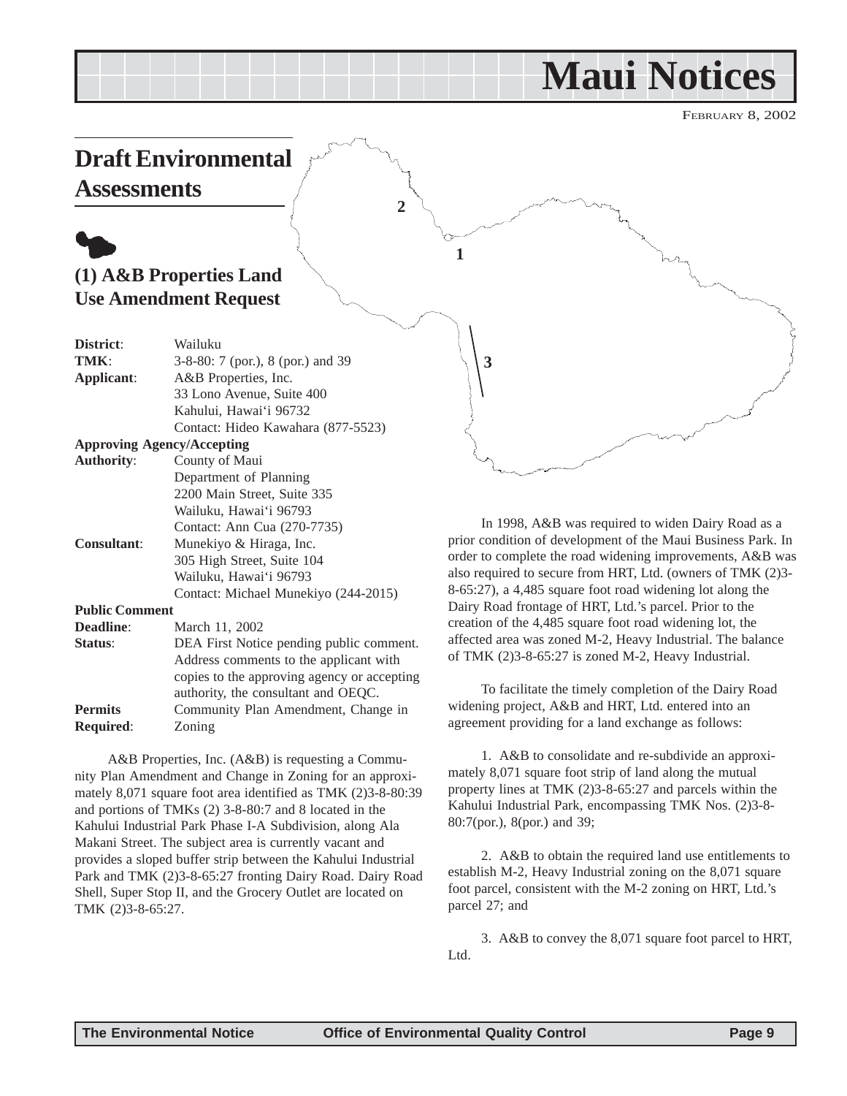# **Maui Notices**

FEBRUARY 8, 2002

# <span id="page-8-0"></span>**Draft Environmental Assessments**

# $\bullet$ **(1) A&B Properties Land Use Amendment Request**

| District:             | Wailuku                                  |
|-----------------------|------------------------------------------|
| TMK:                  | 3-8-80: 7 (por.), 8 (por.) and 39        |
| Applicant:            | A&B Properties, Inc.                     |
|                       | 33 Lono Avenue, Suite 400                |
|                       | Kahului, Hawai'i 96732                   |
|                       | Contact: Hideo Kawahara (877-5523)       |
|                       | <b>Approving Agency/Accepting</b>        |
| <b>Authority:</b>     | County of Maui                           |
|                       | Department of Planning                   |
|                       | 2200 Main Street, Suite 335              |
|                       | Wailuku, Hawai'i 96793                   |
|                       | Contact: Ann Cua (270-7735)              |
| <b>Consultant:</b>    | Munekiyo & Hiraga, Inc.                  |
|                       | 305 High Street, Suite 104               |
|                       | Wailuku, Hawai'i 96793                   |
|                       | Contact: Michael Munekiyo (244-2015)     |
| <b>Public Comment</b> |                                          |
| <b>Deadline:</b>      | March 11, 2002                           |
| Status:               | DEA First Notice pending public comment. |
|                       | Address comments to the applicant with   |

copies to the approving agency or accepting authority, the consultant and OEQC. **Permits** Community Plan Amendment, Change in **Required**: Zoning

A&B Properties, Inc. (A&B) is requesting a Community Plan Amendment and Change in Zoning for an approximately 8,071 square foot area identified as TMK (2)3-8-80:39 and portions of TMKs (2) 3-8-80:7 and 8 located in the Kahului Industrial Park Phase I-A Subdivision, along Ala Makani Street. The subject area is currently vacant and provides a sloped buffer strip between the Kahului Industrial Park and TMK (2)3-8-65:27 fronting Dairy Road. Dairy Road Shell, Super Stop II, and the Grocery Outlet are located on TMK (2)3-8-65:27.

In 1998, A&B was required to widen Dairy Road as a prior condition of development of the Maui Business Park. In order to complete the road widening improvements, A&B was also required to secure from HRT, Ltd. (owners of TMK (2)3- 8-65:27), a 4,485 square foot road widening lot along the Dairy Road frontage of HRT, Ltd.'s parcel. Prior to the creation of the 4,485 square foot road widening lot, the affected area was zoned M-2, Heavy Industrial. The balance of TMK (2)3-8-65:27 is zoned M-2, Heavy Industrial.

To facilitate the timely completion of the Dairy Road widening project, A&B and HRT, Ltd. entered into an agreement providing for a land exchange as follows:

1. A&B to consolidate and re-subdivide an approximately 8,071 square foot strip of land along the mutual property lines at TMK (2)3-8-65:27 and parcels within the Kahului Industrial Park, encompassing TMK Nos. (2)3-8- 80:7(por.), 8(por.) and 39;

2. A&B to obtain the required land use entitlements to establish M-2, Heavy Industrial zoning on the 8,071 square foot parcel, consistent with the M-2 zoning on HRT, Ltd.'s parcel 27; and

3. A&B to convey the 8,071 square foot parcel to HRT, Ltd.

**1**

**2**

**3**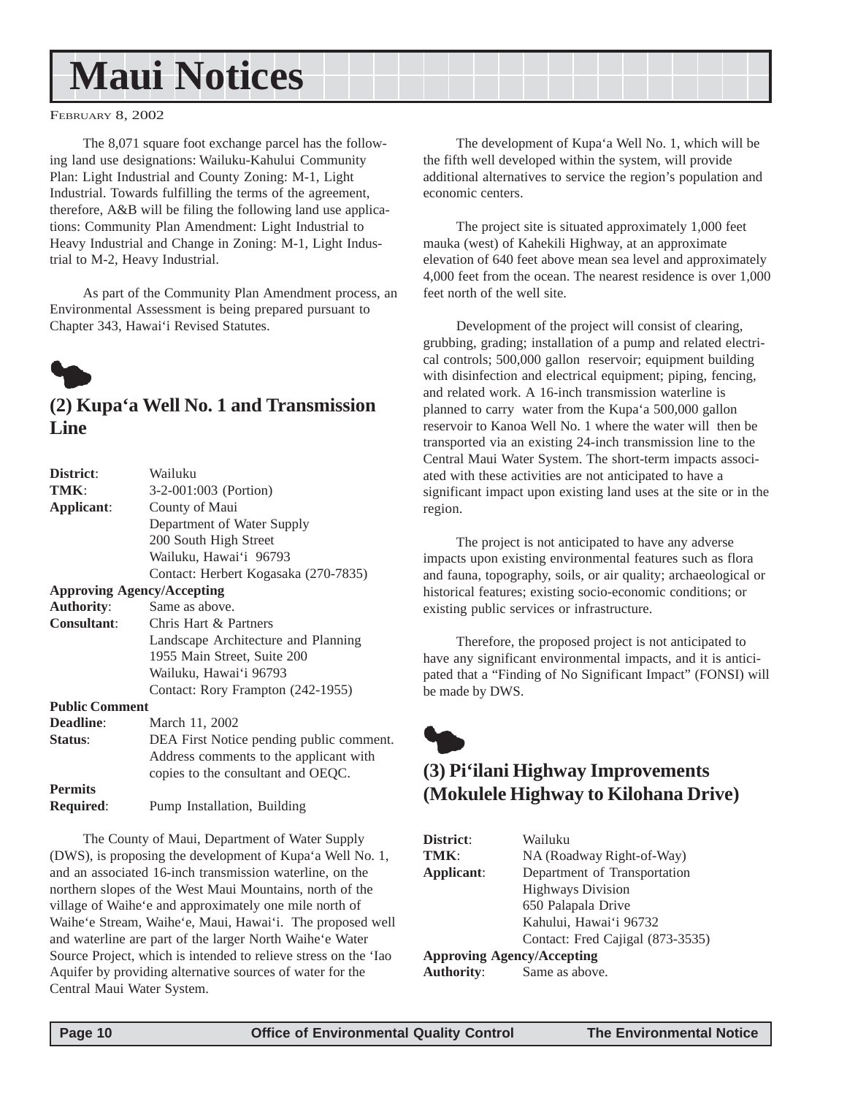# <span id="page-9-0"></span>**Maui Notices**

FEBRUARY 8, 2002

The 8,071 square foot exchange parcel has the following land use designations: Wailuku-Kahului Community Plan: Light Industrial and County Zoning: M-1, Light Industrial. Towards fulfilling the terms of the agreement, therefore, A&B will be filing the following land use applications: Community Plan Amendment: Light Industrial to Heavy Industrial and Change in Zoning: M-1, Light Industrial to M-2, Heavy Industrial.

As part of the Community Plan Amendment process, an Environmental Assessment is being prepared pursuant to Chapter 343, Hawai'i Revised Statutes.



# **(2) Kupa'a Well No. 1 and Transmission Line**

| District:             | Wailuku                                  |
|-----------------------|------------------------------------------|
| TMK:                  | 3-2-001:003 (Portion)                    |
| Applicant:            | County of Maui                           |
|                       | Department of Water Supply               |
|                       | 200 South High Street                    |
|                       | Wailuku, Hawai'i 96793                   |
|                       | Contact: Herbert Kogasaka (270-7835)     |
|                       | <b>Approving Agency/Accepting</b>        |
| <b>Authority:</b>     | Same as above.                           |
| <b>Consultant:</b>    | Chris Hart & Partners                    |
|                       | Landscape Architecture and Planning      |
|                       | 1955 Main Street, Suite 200              |
|                       | Wailuku, Hawai'i 96793                   |
|                       | Contact: Rory Frampton (242-1955)        |
| <b>Public Comment</b> |                                          |
| <b>Deadline:</b>      | March 11, 2002                           |
| Status:               | DEA First Notice pending public comment. |
|                       | Address comments to the applicant with   |
|                       | copies to the consultant and OEQC.       |
| <b>Permits</b>        |                                          |
| <b>Required:</b>      | Pump Installation, Building              |
|                       |                                          |

The County of Maui, Department of Water Supply (DWS), is proposing the development of Kupa'a Well No. 1, and an associated 16-inch transmission waterline, on the northern slopes of the West Maui Mountains, north of the village of Waihe'e and approximately one mile north of Waihe'e Stream, Waihe'e, Maui, Hawai'i. The proposed well and waterline are part of the larger North Waihe'e Water Source Project, which is intended to relieve stress on the 'Iao Aquifer by providing alternative sources of water for the Central Maui Water System.

The development of Kupa'a Well No. 1, which will be the fifth well developed within the system, will provide additional alternatives to service the region's population and economic centers.

The project site is situated approximately 1,000 feet mauka (west) of Kahekili Highway, at an approximate elevation of 640 feet above mean sea level and approximately 4,000 feet from the ocean. The nearest residence is over 1,000 feet north of the well site.

Development of the project will consist of clearing, grubbing, grading; installation of a pump and related electrical controls; 500,000 gallon reservoir; equipment building with disinfection and electrical equipment; piping, fencing, and related work. A 16-inch transmission waterline is planned to carry water from the Kupa'a 500,000 gallon reservoir to Kanoa Well No. 1 where the water will then be transported via an existing 24-inch transmission line to the Central Maui Water System. The short-term impacts associated with these activities are not anticipated to have a significant impact upon existing land uses at the site or in the region.

The project is not anticipated to have any adverse impacts upon existing environmental features such as flora and fauna, topography, soils, or air quality; archaeological or historical features; existing socio-economic conditions; or existing public services or infrastructure.

Therefore, the proposed project is not anticipated to have any significant environmental impacts, and it is anticipated that a "Finding of No Significant Impact" (FONSI) will be made by DWS.

# $\bullet$ **(3) Pi'ilani Highway Improvements (Mokulele Highway to Kilohana Drive)**

| District:         | Wailuku                           |
|-------------------|-----------------------------------|
| TMK:              | NA (Roadway Right-of-Way)         |
| Applicant:        | Department of Transportation      |
|                   | <b>Highways Division</b>          |
|                   | 650 Palapala Drive                |
|                   | Kahului, Hawai'i 96732            |
|                   | Contact: Fred Cajigal (873-3535)  |
|                   | <b>Approving Agency/Accepting</b> |
| <b>Authority:</b> | Same as above.                    |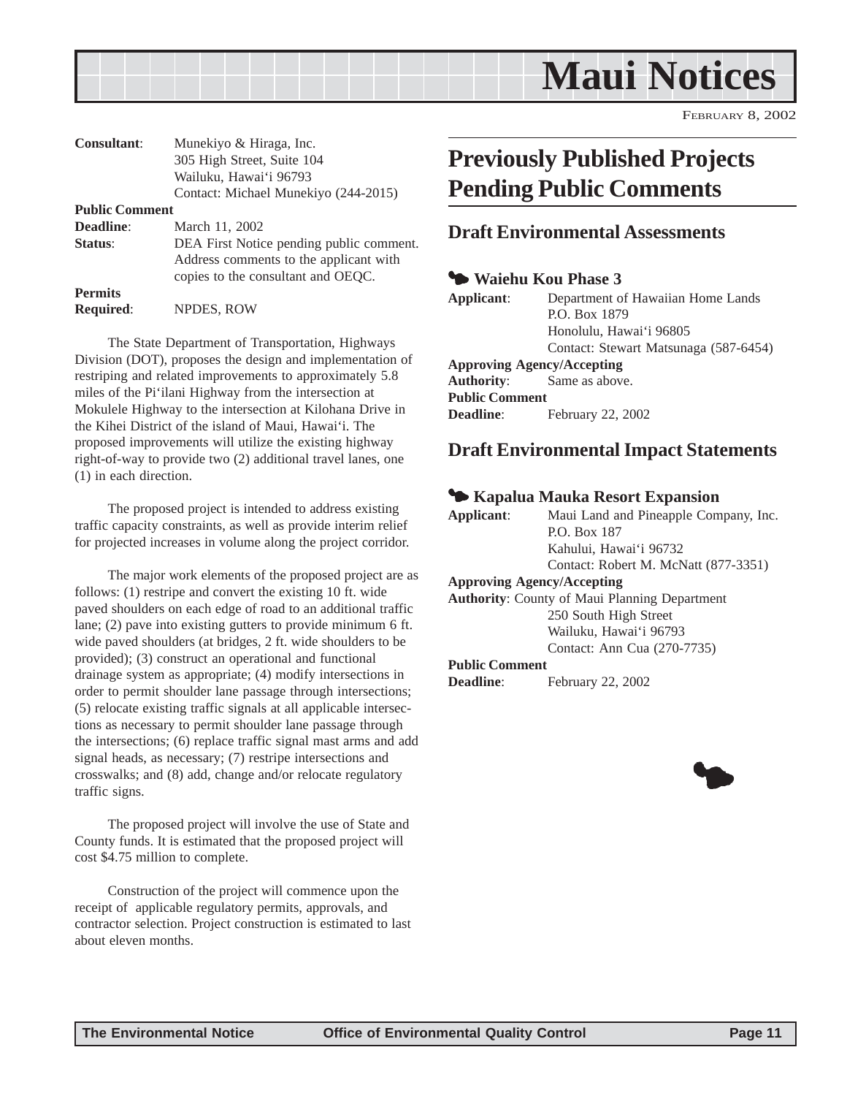<span id="page-10-0"></span>

| <b>Consultant:</b>    | Munekiyo & Hiraga, Inc.                                                                                                  |
|-----------------------|--------------------------------------------------------------------------------------------------------------------------|
|                       | 305 High Street, Suite 104                                                                                               |
|                       | Wailuku, Hawai'i 96793                                                                                                   |
|                       | Contact: Michael Munekiyo (244-2015)                                                                                     |
| <b>Public Comment</b> |                                                                                                                          |
| <b>Deadline:</b>      | March 11, 2002                                                                                                           |
| Status:               | DEA First Notice pending public comment.<br>Address comments to the applicant with<br>copies to the consultant and OEQC. |
| <b>Permits</b>        |                                                                                                                          |
| <b>Required:</b>      | NPDES, ROW                                                                                                               |

The State Department of Transportation, Highways Division (DOT), proposes the design and implementation of restriping and related improvements to approximately 5.8 miles of the Pi'ilani Highway from the intersection at Mokulele Highway to the intersection at Kilohana Drive in the Kihei District of the island of Maui, Hawai'i. The proposed improvements will utilize the existing highway right-of-way to provide two (2) additional travel lanes, one (1) in each direction.

The proposed project is intended to address existing traffic capacity constraints, as well as provide interim relief for projected increases in volume along the project corridor.

The major work elements of the proposed project are as follows: (1) restripe and convert the existing 10 ft. wide paved shoulders on each edge of road to an additional traffic lane; (2) pave into existing gutters to provide minimum 6 ft. wide paved shoulders (at bridges, 2 ft. wide shoulders to be provided); (3) construct an operational and functional drainage system as appropriate; (4) modify intersections in order to permit shoulder lane passage through intersections; (5) relocate existing traffic signals at all applicable intersections as necessary to permit shoulder lane passage through the intersections; (6) replace traffic signal mast arms and add signal heads, as necessary; (7) restripe intersections and crosswalks; and (8) add, change and/or relocate regulatory traffic signs.

The proposed project will involve the use of State and County funds. It is estimated that the proposed project will cost \$4.75 million to complete.

Construction of the project will commence upon the receipt of applicable regulatory permits, approvals, and contractor selection. Project construction is estimated to last about eleven months.

# **Previously Published Projects Pending Public Comments**

### **Draft Environmental Assessments**

#### 3 **Waiehu Kou Phase 3**

| Applicant:                        | Department of Hawaiian Home Lands     |
|-----------------------------------|---------------------------------------|
|                                   | P.O. Box 1879                         |
|                                   | Honolulu, Hawai'i 96805               |
|                                   | Contact: Stewart Matsunaga (587-6454) |
| <b>Approving Agency/Accepting</b> |                                       |
| <b>Authority:</b> Same as above.  |                                       |
| <b>Public Comment</b>             |                                       |
| <b>Deadline:</b>                  | February 22, 2002                     |

### **Draft Environmental Impact Statements**

#### 3 **Kapalua Mauka Resort Expansion**

| Maui Land and Pineapple Company, Inc.                |
|------------------------------------------------------|
| P.O. Box 187                                         |
| Kahului, Hawai'i 96732                               |
| Contact: Robert M. McNatt (877-3351)                 |
| <b>Approving Agency/Accepting</b>                    |
| <b>Authority:</b> County of Maui Planning Department |
|                                                      |

250 South High Street Wailuku, Hawai'i 96793 Contact: Ann Cua (270-7735)

#### **Public Comment**

**Deadline**: February 22, 2002

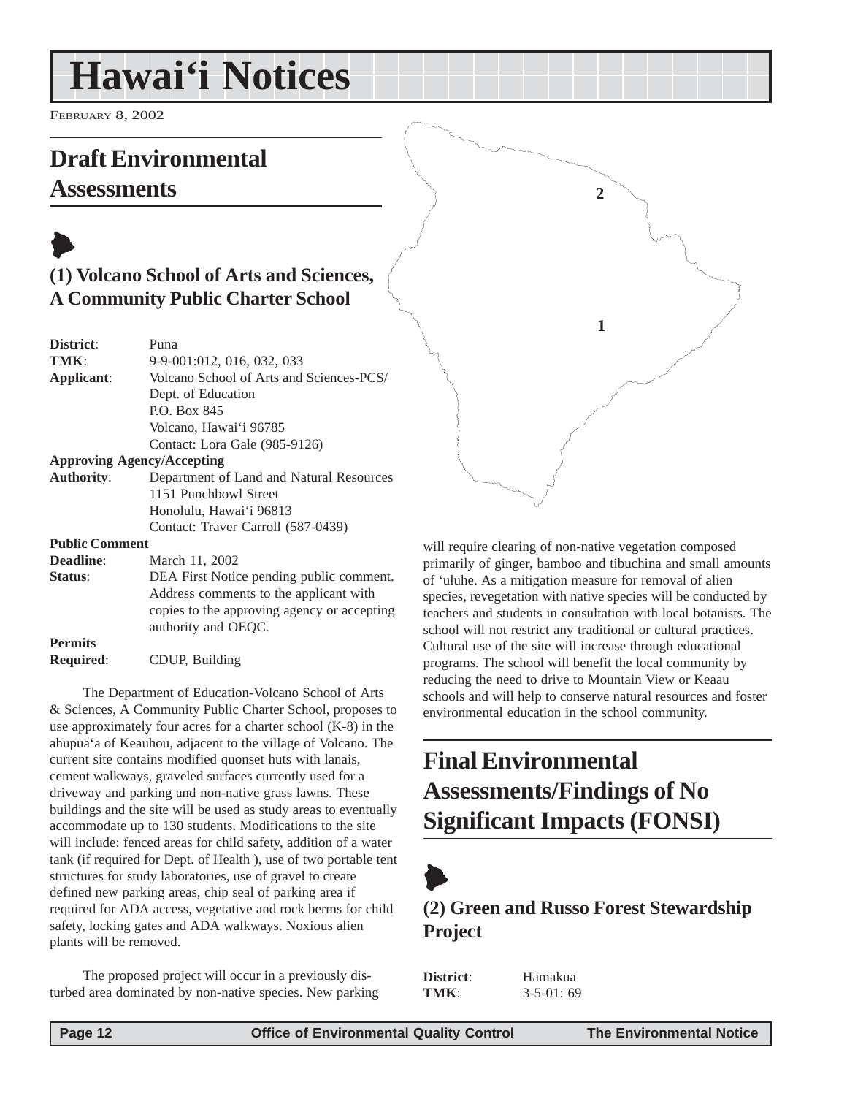# <span id="page-11-0"></span>**Hawai'i Notices**

FEBRUARY 8, 2002

# **Draft Environmental**

# **Assessments**

# $\blacktriangleright$ **(1) Volcano School of Arts and Sciences, A Community Public Charter School**

| District:                         | Puna                                     |
|-----------------------------------|------------------------------------------|
| TMK:                              | 9-9-001:012, 016, 032, 033               |
| Applicant:                        | Volcano School of Arts and Sciences-PCS/ |
|                                   | Dept. of Education                       |
|                                   | P.O. Box 845                             |
|                                   | Volcano, Hawai'i 96785                   |
|                                   | Contact: Lora Gale (985-9126)            |
| <b>Approving Agency/Accepting</b> |                                          |
| <b>Authority:</b>                 | Department of Land and Natural Resources |
|                                   | 1151 Punchbowl Street                    |
|                                   | Honolulu, Hawai'i 96813                  |
|                                   | Contact: Traver Carroll (587-0439)       |
| <b>Public Comment</b>             |                                          |

**Deadline**: March 11, 2002 **Status:** DEA First Notice pending public comment. Address comments to the applicant with copies to the approving agency or accepting authority and OEQC. **Permits**

**Required**: CDUP, Building

The Department of Education-Volcano School of Arts & Sciences, A Community Public Charter School, proposes to use approximately four acres for a charter school (K-8) in the ahupua'a of Keauhou, adjacent to the village of Volcano. The current site contains modified quonset huts with lanais, cement walkways, graveled surfaces currently used for a driveway and parking and non-native grass lawns. These buildings and the site will be used as study areas to eventually accommodate up to 130 students. Modifications to the site will include: fenced areas for child safety, addition of a water tank (if required for Dept. of Health ), use of two portable tent structures for study laboratories, use of gravel to create defined new parking areas, chip seal of parking area if required for ADA access, vegetative and rock berms for child safety, locking gates and ADA walkways. Noxious alien plants will be removed.

The proposed project will occur in a previously disturbed area dominated by non-native species. New parking will require clearing of non-native vegetation composed primarily of ginger, bamboo and tibuchina and small amounts of 'uluhe. As a mitigation measure for removal of alien species, revegetation with native species will be conducted by teachers and students in consultation with local botanists. The school will not restrict any traditional or cultural practices. Cultural use of the site will increase through educational programs. The school will benefit the local community by reducing the need to drive to Mountain View or Keaau schools and will help to conserve natural resources and foster environmental education in the school community.

**2**

**1**

# **Final Environmental Assessments/Findings of No Significant Impacts (FONSI)**



# **(2) Green and Russo Forest Stewardship Project**

**District**: Hamakua **TMK**: 3-5-01: 69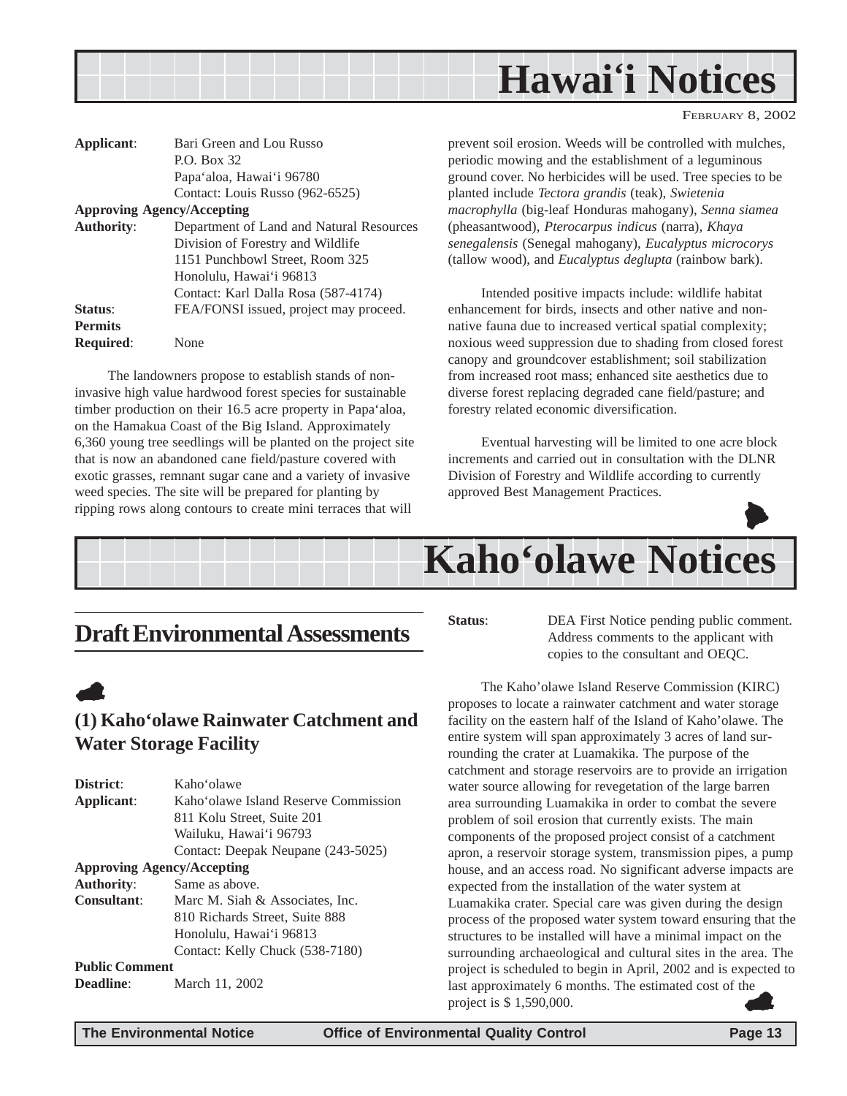<span id="page-12-0"></span>

| Applicant:                        | Bari Green and Lou Russo                 |
|-----------------------------------|------------------------------------------|
|                                   | $P0$ . Box 32.                           |
|                                   | Papa'aloa, Hawai'i 96780                 |
|                                   | Contact: Louis Russo (962-6525)          |
| <b>Approving Agency/Accepting</b> |                                          |
| <b>Authority:</b>                 | Department of Land and Natural Resources |
|                                   | Division of Forestry and Wildlife        |
|                                   | 1151 Punchbowl Street, Room 325          |
|                                   | Honolulu, Hawai'i 96813                  |
|                                   | Contact: Karl Dalla Rosa (587-4174)      |
| Status:                           | FEA/FONSI issued, project may proceed.   |
| <b>Permits</b>                    |                                          |
| Required:                         | None                                     |

The landowners propose to establish stands of noninvasive high value hardwood forest species for sustainable timber production on their 16.5 acre property in Papa'aloa, on the Hamakua Coast of the Big Island. Approximately 6,360 young tree seedlings will be planted on the project site that is now an abandoned cane field/pasture covered with exotic grasses, remnant sugar cane and a variety of invasive weed species. The site will be prepared for planting by ripping rows along contours to create mini terraces that will

prevent soil erosion. Weeds will be controlled with mulches, periodic mowing and the establishment of a leguminous ground cover. No herbicides will be used. Tree species to be planted include *Tectora grandis* (teak), *Swietenia macrophylla* (big-leaf Honduras mahogany), *Senna siamea* (pheasantwood), *Pterocarpus indicus* (narra), *Khaya senegalensis* (Senegal mahogany), *Eucalyptus microcorys* (tallow wood), and *Eucalyptus deglupta* (rainbow bark).

Intended positive impacts include: wildlife habitat enhancement for birds, insects and other native and nonnative fauna due to increased vertical spatial complexity; noxious weed suppression due to shading from closed forest canopy and groundcover establishment; soil stabilization from increased root mass; enhanced site aesthetics due to diverse forest replacing degraded cane field/pasture; and forestry related economic diversification.

Eventual harvesting will be limited to one acre block increments and carried out in consultation with the DLNR Division of Forestry and Wildlife according to currently approved Best Management Practices.





# **Draft Environmental Assessments**

**(1) Kaho'olawe Rainwater Catchment and**

**Applicant**: Kaho'olawe Island Reserve Commission 811 Kolu Street, Suite 201 Wailuku, Hawai'i 96793

**Consultant**: Marc M. Siah & Associates, Inc.

Contact: Deepak Neupane (243-5025)

810 Richards Street, Suite 888 Honolulu, Hawai'i 96813

Contact: Kelly Chuck (538-7180)

**Status:** DEA First Notice pending public comment. Address comments to the applicant with copies to the consultant and OEQC.

The Kaho'olawe Island Reserve Commission (KIRC) proposes to locate a rainwater catchment and water storage facility on the eastern half of the Island of Kaho'olawe. The entire system will span approximately 3 acres of land surrounding the crater at Luamakika. The purpose of the catchment and storage reservoirs are to provide an irrigation water source allowing for revegetation of the large barren area surrounding Luamakika in order to combat the severe problem of soil erosion that currently exists. The main components of the proposed project consist of a catchment apron, a reservoir storage system, transmission pipes, a pump house, and an access road. No significant adverse impacts are expected from the installation of the water system at Luamakika crater. Special care was given during the design process of the proposed water system toward ensuring that the structures to be installed will have a minimal impact on the surrounding archaeological and cultural sites in the area. The project is scheduled to begin in April, 2002 and is expected to last approximately 6 months. The estimated cost of the project is \$ 1,590,000.  $\bullet$ 

**Deadline**: March 11, 2002

**Water Storage Facility**

**District**: Kaho'olawe

**Approving Agency/Accepting Authority**: Same as above.

**Public Comment**

 $\blacktriangle$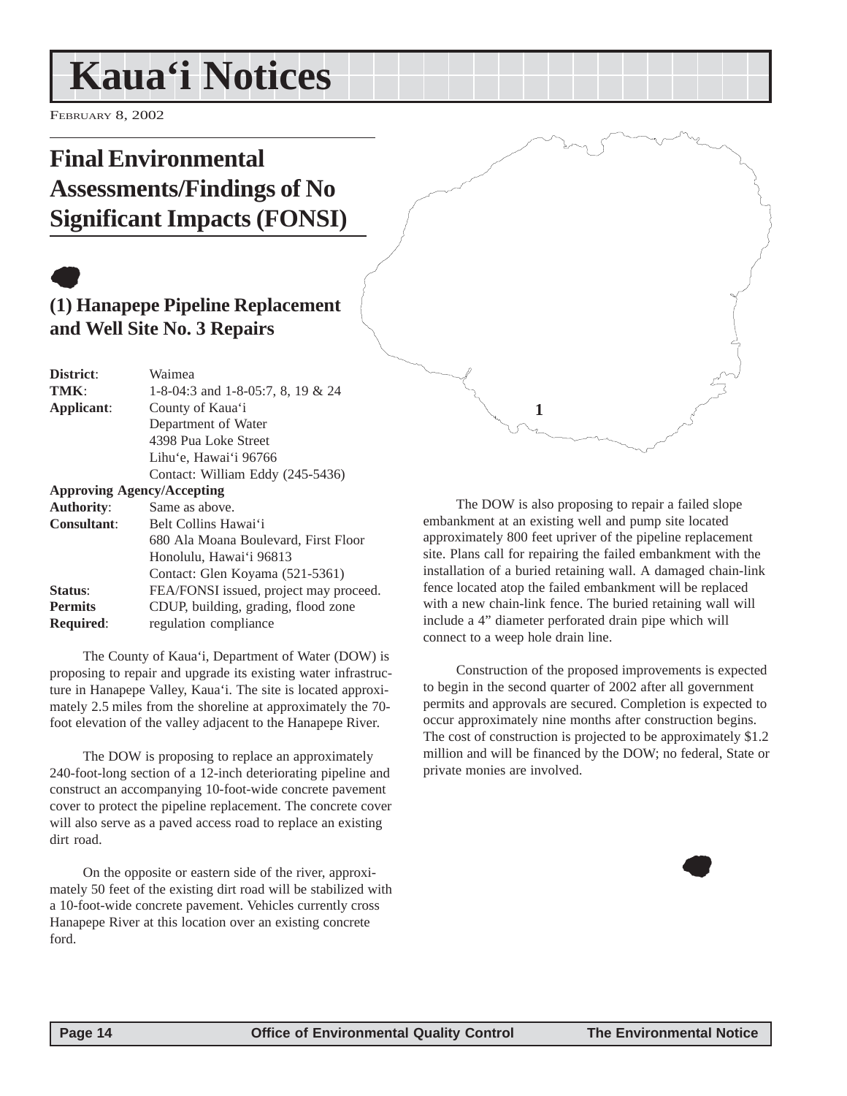# <span id="page-13-0"></span>**Kaua'i Notices**

FEBRUARY 8, 2002

# **Final Environmental Assessments/Findings of No Significant Impacts (FONSI)**

# $\bullet$

# **(1) Hanapepe Pipeline Replacement and Well Site No. 3 Repairs**

| District:          | Waimea                                 |
|--------------------|----------------------------------------|
| TMK:               | 1-8-04:3 and 1-8-05:7, 8, 19 & 24      |
| Applicant:         | County of Kaua'i                       |
|                    | Department of Water                    |
|                    | 4398 Pua Loke Street                   |
|                    | Lihu'e, Hawai'i 96766                  |
|                    | Contact: William Eddy (245-5436)       |
|                    | <b>Approving Agency/Accepting</b>      |
| <b>Authority:</b>  | Same as above.                         |
| <b>Consultant:</b> | Belt Collins Hawai'i                   |
|                    | 680 Ala Moana Boulevard, First Floor   |
|                    | Honolulu, Hawai'i 96813                |
|                    | Contact: Glen Koyama (521-5361)        |
| Status:            | FEA/FONSI issued, project may proceed. |
| <b>Permits</b>     | CDUP, building, grading, flood zone    |
| <b>Required:</b>   | regulation compliance                  |

The County of Kaua'i, Department of Water (DOW) is proposing to repair and upgrade its existing water infrastructure in Hanapepe Valley, Kaua'i. The site is located approximately 2.5 miles from the shoreline at approximately the 70 foot elevation of the valley adjacent to the Hanapepe River.

The DOW is proposing to replace an approximately 240-foot-long section of a 12-inch deteriorating pipeline and construct an accompanying 10-foot-wide concrete pavement cover to protect the pipeline replacement. The concrete cover will also serve as a paved access road to replace an existing dirt road.

On the opposite or eastern side of the river, approximately 50 feet of the existing dirt road will be stabilized with a 10-foot-wide concrete pavement. Vehicles currently cross Hanapepe River at this location over an existing concrete ford.

The DOW is also proposing to repair a failed slope embankment at an existing well and pump site located approximately 800 feet upriver of the pipeline replacement site. Plans call for repairing the failed embankment with the installation of a buried retaining wall. A damaged chain-link fence located atop the failed embankment will be replaced with a new chain-link fence. The buried retaining wall will include a 4" diameter perforated drain pipe which will connect to a weep hole drain line.

**1**

Construction of the proposed improvements is expected to begin in the second quarter of 2002 after all government permits and approvals are secured. Completion is expected to occur approximately nine months after construction begins. The cost of construction is projected to be approximately \$1.2 million and will be financed by the DOW; no federal, State or private monies are involved.

 $\bullet$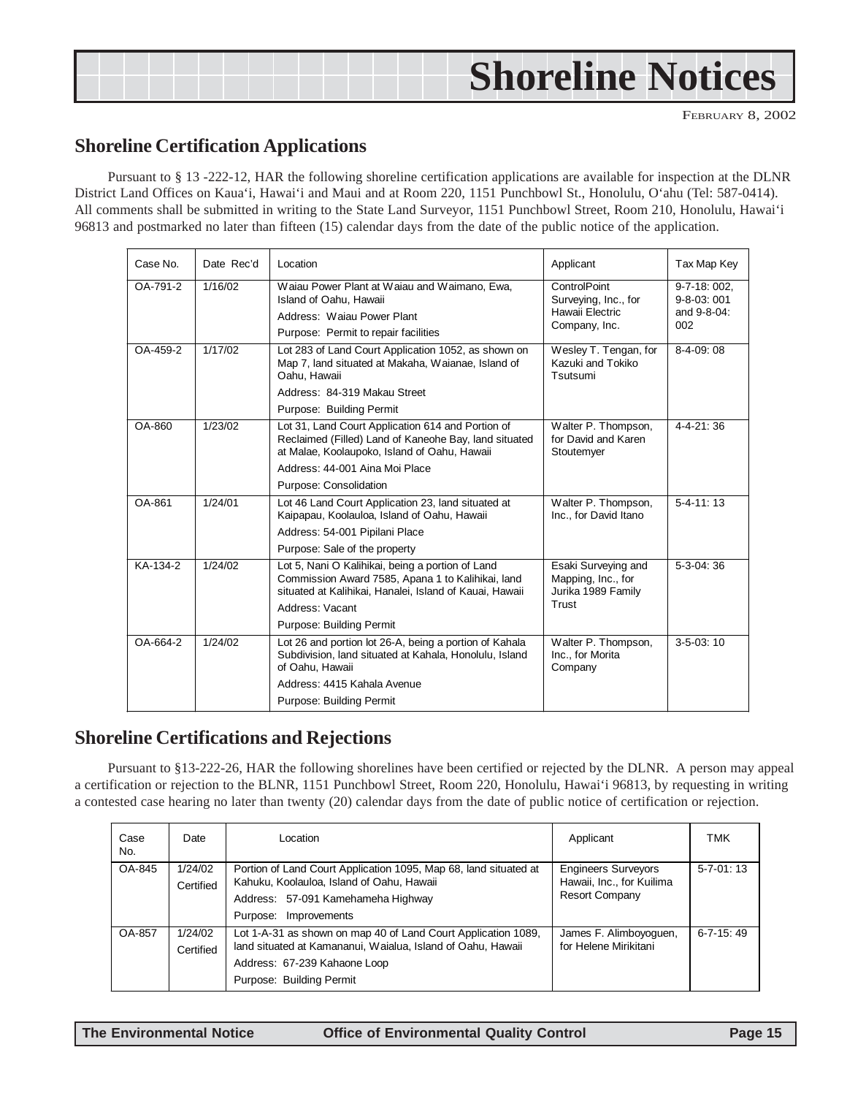# <span id="page-14-0"></span>**Shoreline Notices**

FEBRUARY 8, 2002

## **Shoreline Certification Applications**

Pursuant to § 13 -222-12, HAR the following shoreline certification applications are available for inspection at the DLNR District Land Offices on Kaua'i, Hawai'i and Maui and at Room 220, 1151 Punchbowl St., Honolulu, O'ahu (Tel: 587-0414). All comments shall be submitted in writing to the State Land Surveyor, 1151 Punchbowl Street, Room 210, Honolulu, Hawai'i 96813 and postmarked no later than fifteen (15) calendar days from the date of the public notice of the application.

| Case No. | Date Rec'd | Location                                                                                                                                                                                                               | Applicant                                                                | Tax Map Key                                      |
|----------|------------|------------------------------------------------------------------------------------------------------------------------------------------------------------------------------------------------------------------------|--------------------------------------------------------------------------|--------------------------------------------------|
| OA-791-2 | 1/16/02    | Waiau Power Plant at Waiau and Waimano, Ewa,<br>Island of Oahu, Hawaii<br>Address: Waiau Power Plant<br>Purpose: Permit to repair facilities                                                                           | ControlPoint<br>Surveying, Inc., for<br>Hawaii Electric<br>Company, Inc. | 9-7-18: 002,<br>9-8-03:001<br>and 9-8-04:<br>002 |
| OA-459-2 | 1/17/02    | Lot 283 of Land Court Application 1052, as shown on<br>Map 7, land situated at Makaha, Waianae, Island of<br>Oahu, Hawaii<br>Address: 84-319 Makau Street<br>Purpose: Building Permit                                  | Wesley T. Tengan, for<br>Kazuki and Tokiko<br>Tsutsumi                   | $8-4-09:08$                                      |
| OA-860   | 1/23/02    | Lot 31, Land Court Application 614 and Portion of<br>Reclaimed (Filled) Land of Kaneohe Bay, land situated<br>at Malae, Koolaupoko, Island of Oahu, Hawaii<br>Address: 44-001 Aina Moi Place<br>Purpose: Consolidation | Walter P. Thompson,<br>for David and Karen<br>Stoutemyer                 | $4 - 4 - 21$ : 36                                |
| OA-861   | 1/24/01    | Lot 46 Land Court Application 23, land situated at<br>Kaipapau, Koolauloa, Island of Oahu, Hawaii<br>Address: 54-001 Pipilani Place<br>Purpose: Sale of the property                                                   | Walter P. Thompson,<br>Inc., for David Itano                             | $5 - 4 - 11$ : 13                                |
| KA-134-2 | 1/24/02    | Lot 5, Nani O Kalihikai, being a portion of Land<br>Commission Award 7585, Apana 1 to Kalihikai, land<br>situated at Kalihikai, Hanalei, Island of Kauai, Hawaii<br>Address: Vacant<br>Purpose: Building Permit        | Esaki Surveying and<br>Mapping, Inc., for<br>Jurika 1989 Family<br>Trust | $5-3-04:36$                                      |
| OA-664-2 | 1/24/02    | Lot 26 and portion lot 26-A, being a portion of Kahala<br>Subdivision, land situated at Kahala, Honolulu, Island<br>of Oahu. Hawaii<br>Address: 4415 Kahala Avenue<br>Purpose: Building Permit                         | Walter P. Thompson,<br>Inc., for Morita<br>Company                       | $3 - 5 - 03$ : 10                                |

# **Shoreline Certifications and Rejections**

Pursuant to §13-222-26, HAR the following shorelines have been certified or rejected by the DLNR. A person may appeal a certification or rejection to the BLNR, 1151 Punchbowl Street, Room 220, Honolulu, Hawai'i 96813, by requesting in writing a contested case hearing no later than twenty (20) calendar days from the date of public notice of certification or rejection.

| Case<br>No. | Date                 | Location                                                                                                                                                                                 | Applicant                                                                        | TMK               |
|-------------|----------------------|------------------------------------------------------------------------------------------------------------------------------------------------------------------------------------------|----------------------------------------------------------------------------------|-------------------|
| OA-845      | 1/24/02<br>Certified | Portion of Land Court Application 1095, Map 68, land situated at<br>Kahuku, Koolauloa, Island of Oahu, Hawaii<br>Address: 57-091 Kamehameha Highway<br>Purpose: Improvements             | <b>Engineers Surveyors</b><br>Hawaii, Inc., for Kuilima<br><b>Resort Company</b> | $5 - 7 - 01 : 13$ |
| OA-857      | 1/24/02<br>Certified | Lot 1-A-31 as shown on map 40 of Land Court Application 1089,<br>land situated at Kamananui, Waialua, Island of Oahu, Hawaii<br>Address: 67-239 Kahaone Loop<br>Purpose: Building Permit | James F. Alimboyoguen,<br>for Helene Mirikitani                                  | $6 - 7 - 15$ : 49 |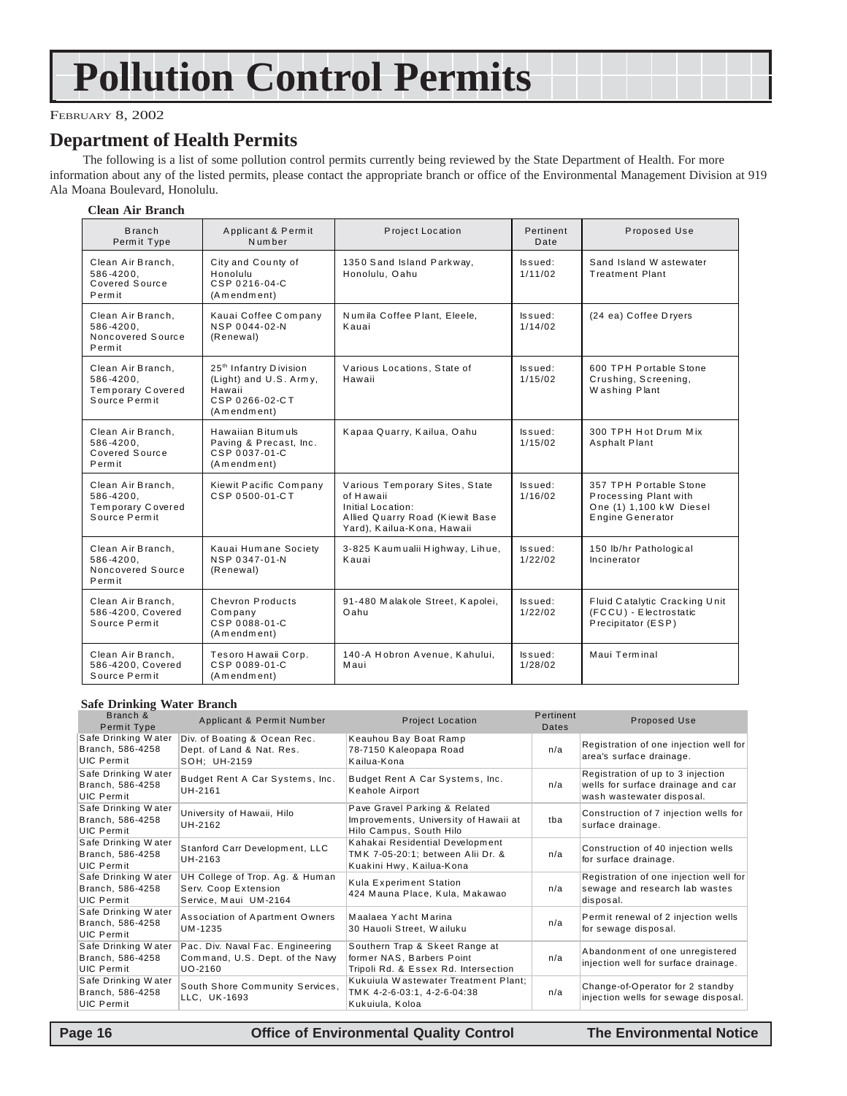# **Pollution Control Permits**

#### FEBRUARY 8, 2002

### **Department of Health Permits**

The following is a list of some pollution control permits currently being reviewed by the State Department of Health. For more information about any of the listed permits, please contact the appropriate branch or office of the Environmental Management Division at 919 Ala Moana Boulevard, Honolulu.

#### **Clean Air Branch**

| <b>Branch</b><br>Permit Type                                                | Applicant & Permit<br>Number                                                                            | Project Location                                                                                                                  | Pertinent<br>Date     | Proposed Use                                                                                   |
|-----------------------------------------------------------------------------|---------------------------------------------------------------------------------------------------------|-----------------------------------------------------------------------------------------------------------------------------------|-----------------------|------------------------------------------------------------------------------------------------|
| Clean Air Branch.<br>586-4200.<br>Covered Source<br>Permit                  | City and County of<br>Honolulu<br>CSP 0216-04-C<br>(Amendment)                                          | 1350 Sand Island Parkway,<br>Honolulu, Oahu                                                                                       | ls sued:<br>1/11/02   | Sand Island W astewater<br><b>Treatment Plant</b>                                              |
| Clean Air Branch.<br>586-4200.<br>Noncovered Source<br>Permit               | Kauai Coffee Company<br>NSP 0044-02-N<br>(Renewal)                                                      | Numila Coffee Plant, Eleele,<br>Kauai                                                                                             | Issued:<br>1/14/02    | (24 ea) Coffee Dryers                                                                          |
| Clean Air Branch.<br>586-4200,<br>Temporary Covered<br>Source Permit        | 25 <sup>th</sup> Infantry Division<br>(Light) and U.S. Army,<br>Hawaii<br>CSP 0266-02-CT<br>(Amendment) | Various Locations, State of<br>Hawaii                                                                                             | ls sued:<br>1/15/02   | 600 TPH Portable Stone<br>Crushing, Screening,<br>Washing Plant                                |
| Clean Air Branch,<br>586-4200,<br>Covered Source<br>Permit                  | Hawaiian Bitumuls<br>Paving & Precast, Inc.<br>CSP 0037-01-C<br>(Amendment)                             | Kapaa Quarry, Kailua, Oahu                                                                                                        | Issued:<br>1/15/02    | 300 TPH Hot Drum Mix<br><b>Asphalt Plant</b>                                                   |
| Clean Air Branch.<br>586-4200.<br><b>Temporary Covered</b><br>Source Permit | Kiewit Pacific Company<br>CSP 0500-01-CT                                                                | Various Temporary Sites, State<br>of Hawaii<br>Initial Location:<br>Allied Quarry Road (Kiewit Base<br>Yard), Kailua-Kona, Hawaii | Issued:<br>1/16/02    | 357 TPH Portable Stone<br>Processing Plant with<br>One (1) 1,100 kW Diesel<br>Engine Generator |
| Clean Air Branch,<br>586-4200.<br>Noncovered Source<br>Permit               | Kauai Humane Society<br>NSP 0347-01-N<br>(Renewal)                                                      | 3-825 Kaumualii Highway, Lihue,<br>Kauai                                                                                          | $l$ ssued:<br>1/22/02 | 150 lb/hr Pathological<br>Incinerator                                                          |
| Clean Air Branch.<br>586-4200, Covered<br>Source Permit                     | Chevron Products<br>Company<br>CSP 0088-01-C<br>(Amendment)                                             | 91-480 Malakole Street, Kapolei,<br>Oahu                                                                                          | $l$ ssued:<br>1/22/02 | Fluid Catalytic Cracking Unit<br>(FCCU) - Electrostatic<br>Precipitator (ESP)                  |
| Clean Air Branch.<br>586-4200, Covered<br>Source Permit                     | Tesoro Hawaii Corp.<br>CSP 0089-01-C<br>(A m end member)                                                | 140-A Hobron Avenue, Kahului,<br>Maui                                                                                             | Issued:<br>1/28/02    | Maui Terminal                                                                                  |

#### **Safe Drinking Water Branch**

| Branch &<br>Permit Type                                      | Applicant & Permit Number                                                        | <b>Project Location</b>                                                                             | Pertinent<br>Dates | Proposed Use                                                                                         |
|--------------------------------------------------------------|----------------------------------------------------------------------------------|-----------------------------------------------------------------------------------------------------|--------------------|------------------------------------------------------------------------------------------------------|
| Safe Drinking Water<br>Branch, 586-4258<br><b>UIC Permit</b> | Div. of Boating & Ocean Rec.<br>Dept. of Land & Nat. Res.<br>SOH: UH-2159        | Keauhou Bay Boat Ramp<br>78-7150 Kaleopapa Road<br>Kailua-Kona                                      | n/a                | Registration of one injection well for<br>area's surface drainage.                                   |
| Safe Drinking Water<br>Branch, 586-4258<br>UIC Permit        | Budget Rent A Car Systems, Inc.<br>UH-2161                                       | Budget Rent A Car Systems, Inc.<br>Keahole Airport                                                  | n/a                | Registration of up to 3 injection<br>wells for surface drainage and car<br>wash wastewater disposal. |
| Safe Drinking Water<br>Branch, 586-4258<br>UIC Permit        | University of Hawaii, Hilo<br>UH-2162                                            | Pave Gravel Parking & Related<br>Improvements, University of Hawaii at<br>Hilo Campus, South Hilo   | tba                | Construction of 7 injection wells for<br>surface drainage.                                           |
| Safe Drinking Water<br>Branch, 586-4258<br><b>UIC Permit</b> | Stanford Carr Development, LLC<br>UH-2163                                        | Kahakai Residential Development<br>TMK 7-05-20:1; between Alii Dr. &<br>Kuakini Hwy, Kailua-Kona    | n/a                | Construction of 40 injection wells<br>for surface drainage.                                          |
| Safe Drinking Water<br>Branch, 586-4258<br>UIC Permit        | UH College of Trop. Ag. & Human<br>Serv. Coop Extension<br>Service, Maui UM-2164 | Kula Experiment Station<br>424 Mauna Place, Kula, Makawao                                           | n/a                | Registration of one injection well for<br>sewage and research lab wastes<br>disposal.                |
| Safe Drinking Water<br>Branch, 586-4258<br><b>UIC Permit</b> | Association of Apartment Owners<br>UM-1235                                       | Maalaea Yacht Marina<br>30 Hauoli Street, Wailuku                                                   | n/a                | Permit renewal of 2 injection wells<br>for sewage disposal.                                          |
| Safe Drinking Water<br>Branch, 586-4258<br><b>UIC Permit</b> | Pac. Div. Naval Fac. Engineering<br>Command, U.S. Dept. of the Navy<br>UO-2160   | Southern Trap & Skeet Range at<br>former NAS, Barbers Point<br>Tripoli Rd. & Essex Rd. Intersection | n/a                | Abandonment of one unregistered<br>injection well for surface drainage.                              |
| Safe Drinking Water<br>Branch, 586-4258<br><b>UIC Permit</b> | South Shore Community Services,<br>LLC, UK-1693                                  | Kukujula Wastewater Treatment Plant:<br>TMK 4-2-6-03:1, 4-2-6-04:38<br>Kukuiula, Koloa              | n/a                | Change-of-Operator for 2 standby<br>injection wells for sewage disposal.                             |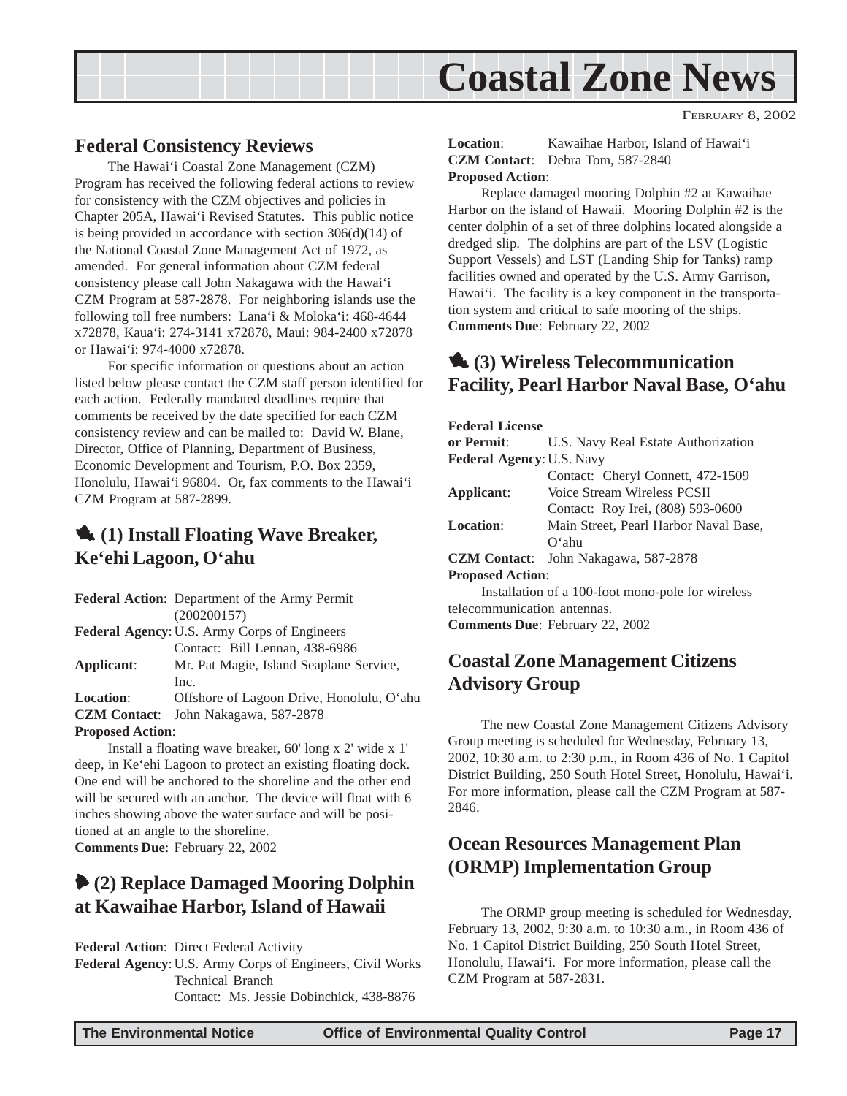<span id="page-16-0"></span>

### **Federal Consistency Reviews**

The Hawai'i Coastal Zone Management (CZM) Program has received the following federal actions to review for consistency with the CZM objectives and policies in Chapter 205A, Hawai'i Revised Statutes. This public notice is being provided in accordance with section 306(d)(14) of the National Coastal Zone Management Act of 1972, as amended. For general information about CZM federal consistency please call John Nakagawa with the Hawai'i CZM Program at 587-2878. For neighboring islands use the following toll free numbers: Lana'i & Moloka'i: 468-4644 x72878, Kaua'i: 274-3141 x72878, Maui: 984-2400 x72878 or Hawai'i: 974-4000 x72878.

For specific information or questions about an action listed below please contact the CZM staff person identified for each action. Federally mandated deadlines require that comments be received by the date specified for each CZM consistency review and can be mailed to: David W. Blane, Director, Office of Planning, Department of Business, Economic Development and Tourism, P.O. Box 2359, Honolulu, Hawai'i 96804. Or, fax comments to the Hawai'i CZM Program at 587-2899.

## 1 **(1) Install Floating Wave Breaker, Ke'ehi Lagoon, O'ahu**

**Federal Action**: Department of the Army Permit (200200157) **Federal Agency**: U.S. Army Corps of Engineers Contact: Bill Lennan, 438-6986 **Applicant**: Mr. Pat Magie, Island Seaplane Service,

Inc. **Location**: Offshore of Lagoon Drive, Honolulu, O'ahu **CZM Contact**: John Nakagawa, 587-2878 **Proposed Action**:

Install a floating wave breaker, 60' long x 2' wide x 1' deep, in Ke'ehi Lagoon to protect an existing floating dock. One end will be anchored to the shoreline and the other end will be secured with an anchor. The device will float with 6 inches showing above the water surface and will be positioned at an angle to the shoreline. **Comments Due**: February 22, 2002

## 6 **(2) Replace Damaged Mooring Dolphin at Kawaihae Harbor, Island of Hawaii**

**Federal Action**: Direct Federal Activity

**Federal Agency**: U.S. Army Corps of Engineers, Civil Works Technical Branch Contact: Ms. Jessie Dobinchick, 438-8876

FEBRUARY 8, 2002

**Location**: Kawaihae Harbor, Island of Hawai'i **CZM Contact**: Debra Tom, 587-2840 **Proposed Action**:

Replace damaged mooring Dolphin #2 at Kawaihae Harbor on the island of Hawaii. Mooring Dolphin #2 is the center dolphin of a set of three dolphins located alongside a dredged slip. The dolphins are part of the LSV (Logistic Support Vessels) and LST (Landing Ship for Tanks) ramp facilities owned and operated by the U.S. Army Garrison, Hawai'i. The facility is a key component in the transportation system and critical to safe mooring of the ships. **Comments Due**: February 22, 2002

## 1 **(3) Wireless Telecommunication Facility, Pearl Harbor Naval Base, O'ahu**

#### **Federal License**

| U.S. Navy Real Estate Authorization               |
|---------------------------------------------------|
| Federal Agency: U.S. Navy                         |
| Contact: Cheryl Connett, 472-1509                 |
| Voice Stream Wireless PCSII                       |
| Contact: Roy Irei, (808) 593-0600                 |
| Main Street, Pearl Harbor Naval Base,             |
| $O4$ ahu                                          |
| John Nakagawa, 587-2878<br><b>CZM Contact:</b>    |
| <b>Proposed Action:</b>                           |
| Installation of a 100-foot mono-pole for wireless |
| telecommunication antennas.                       |
|                                                   |

**Comments Due**: February 22, 2002

# **Coastal Zone Management Citizens Advisory Group**

The new Coastal Zone Management Citizens Advisory Group meeting is scheduled for Wednesday, February 13, 2002, 10:30 a.m. to 2:30 p.m., in Room 436 of No. 1 Capitol District Building, 250 South Hotel Street, Honolulu, Hawai'i. For more information, please call the CZM Program at 587- 2846.

## **Ocean Resources Management Plan (ORMP) Implementation Group**

The ORMP group meeting is scheduled for Wednesday, February 13, 2002, 9:30 a.m. to 10:30 a.m., in Room 436 of No. 1 Capitol District Building, 250 South Hotel Street, Honolulu, Hawai'i. For more information, please call the CZM Program at 587-2831.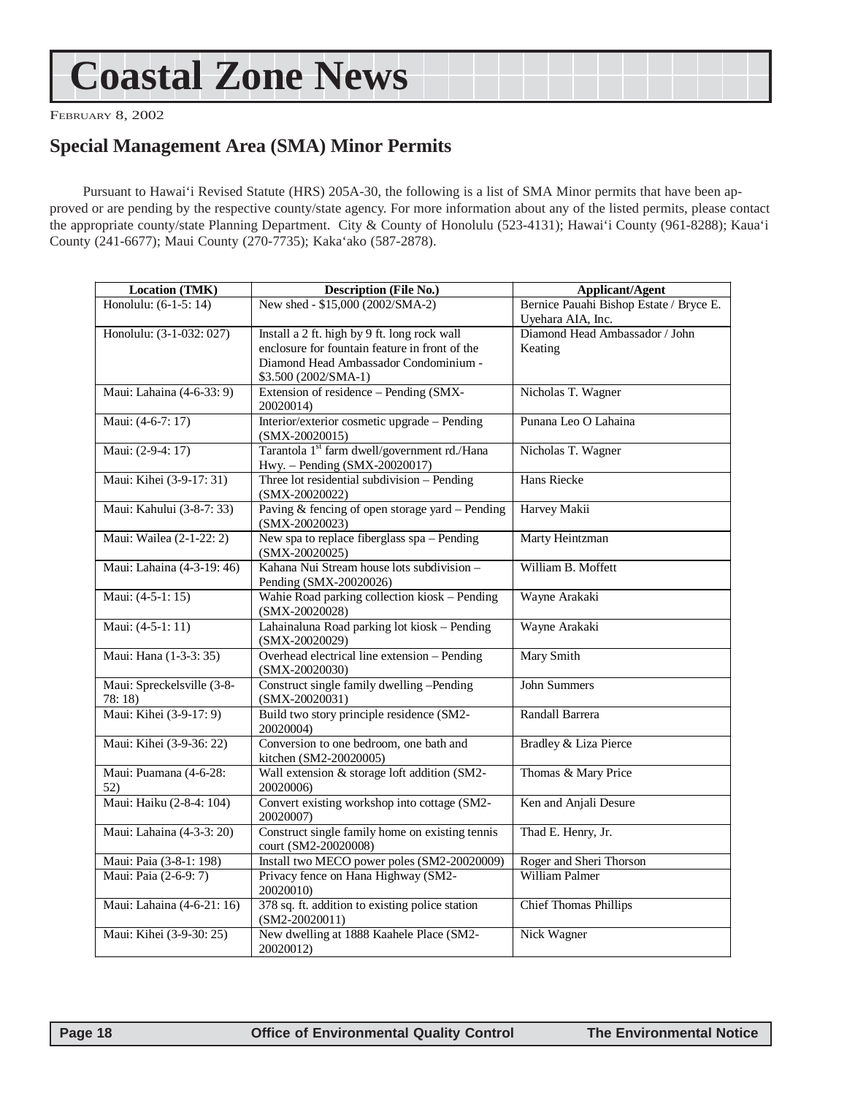# <span id="page-17-0"></span>**Coastal Zone News**

FEBRUARY 8, 2002

## **Special Management Area (SMA) Minor Permits**

Pursuant to Hawai'i Revised Statute (HRS) 205A-30, the following is a list of SMA Minor permits that have been approved or are pending by the respective county/state agency. For more information about any of the listed permits, please contact the appropriate county/state Planning Department. City & County of Honolulu (523-4131); Hawai'i County (961-8288); Kaua'i County (241-6677); Maui County (270-7735); Kaka'ako (587-2878).

| <b>Location (TMK)</b>               | <b>Description (File No.)</b>                                                                                                                                   | <b>Applicant/Agent</b>                                       |
|-------------------------------------|-----------------------------------------------------------------------------------------------------------------------------------------------------------------|--------------------------------------------------------------|
| Honolulu: (6-1-5: 14)               | New shed - \$15,000 (2002/SMA-2)                                                                                                                                | Bernice Pauahi Bishop Estate / Bryce E.<br>Uyehara AIA, Inc. |
| Honolulu: (3-1-032: 027)            | Install a 2 ft. high by 9 ft. long rock wall<br>enclosure for fountain feature in front of the<br>Diamond Head Ambassador Condominium -<br>\$3.500 (2002/SMA-1) | Diamond Head Ambassador / John<br>Keating                    |
| Maui: Lahaina (4-6-33: 9)           | Extension of residence - Pending (SMX-<br>20020014)                                                                                                             | Nicholas T. Wagner                                           |
| Maui: (4-6-7: 17)                   | Interior/exterior cosmetic upgrade - Pending<br>$(SMX-20020015)$                                                                                                | Punana Leo O Lahaina                                         |
| Maui: (2-9-4: 17)                   | Tarantola 1 <sup>st</sup> farm dwell/government rd./Hana<br>Hwy. - Pending (SMX-20020017)                                                                       | Nicholas T. Wagner                                           |
| Maui: Kihei (3-9-17: 31)            | Three lot residential subdivision - Pending<br>$(SMX-20020022)$                                                                                                 | Hans Riecke                                                  |
| Maui: Kahului (3-8-7: 33)           | Paving & fencing of open storage yard - Pending<br>$(SMX-20020023)$                                                                                             | Harvey Makii                                                 |
| Maui: Wailea (2-1-22: 2)            | New spa to replace fiberglass spa – Pending<br>$(SMX-20020025)$                                                                                                 | Marty Heintzman                                              |
| Maui: Lahaina (4-3-19: 46)          | Kahana Nui Stream house lots subdivision -<br>Pending (SMX-20020026)                                                                                            | William B. Moffett                                           |
| Maui: (4-5-1: 15)                   | Wahie Road parking collection kiosk - Pending<br>$(SMX-20020028)$                                                                                               | Wayne Arakaki                                                |
| Maui: (4-5-1: 11)                   | Lahainaluna Road parking lot kiosk - Pending<br>$(SMX-20020029)$                                                                                                | Wayne Arakaki                                                |
| Maui: Hana (1-3-3: 35)              | Overhead electrical line extension - Pending<br>$(SMX-20020030)$                                                                                                | Mary Smith                                                   |
| Maui: Spreckelsville (3-8-<br>78:18 | Construct single family dwelling -Pending<br>$(SMX-20020031)$                                                                                                   | <b>John Summers</b>                                          |
| Maui: Kihei (3-9-17: 9)             | Build two story principle residence (SM2-<br>20020004)                                                                                                          | Randall Barrera                                              |
| Maui: Kihei (3-9-36: 22)            | Conversion to one bedroom, one bath and<br>kitchen (SM2-20020005)                                                                                               | Bradley & Liza Pierce                                        |
| Maui: Puamana (4-6-28:<br>52)       | Wall extension & storage loft addition (SM2-<br>20020006)                                                                                                       | Thomas & Mary Price                                          |
| Maui: Haiku (2-8-4: 104)            | Convert existing workshop into cottage (SM2-<br>20020007)                                                                                                       | Ken and Anjali Desure                                        |
| Maui: Lahaina (4-3-3: 20)           | Construct single family home on existing tennis<br>court (SM2-20020008)                                                                                         | Thad E. Henry, Jr.                                           |
| Maui: Paia (3-8-1: 198)             | Install two MECO power poles (SM2-20020009)                                                                                                                     | Roger and Sheri Thorson                                      |
| Maui: Paia (2-6-9: 7)               | Privacy fence on Hana Highway (SM2-<br>20020010)                                                                                                                | William Palmer                                               |
| Maui: Lahaina (4-6-21: 16)          | 378 sq. ft. addition to existing police station<br>$(SM2-20020011)$                                                                                             | <b>Chief Thomas Phillips</b>                                 |
| Maui: Kihei (3-9-30: 25)            | New dwelling at 1888 Kaahele Place (SM2-<br>20020012)                                                                                                           | Nick Wagner                                                  |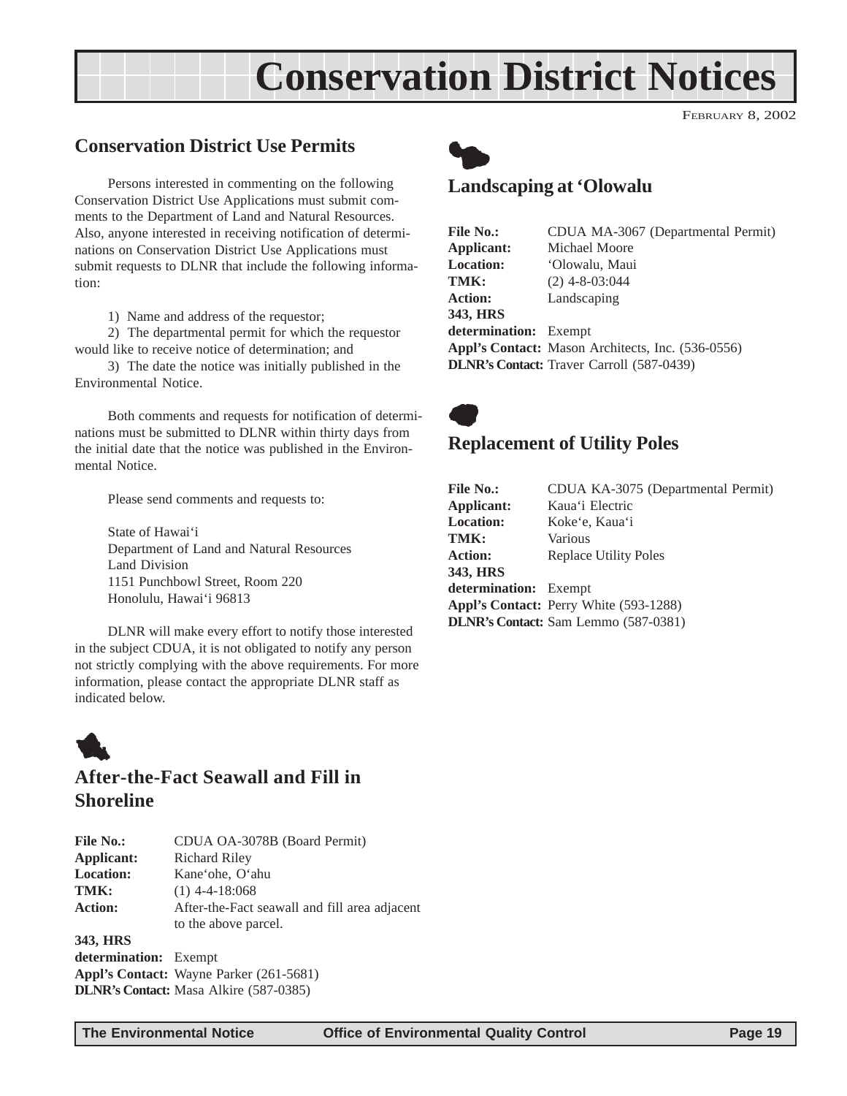# **Conservation District Notices**

### <span id="page-18-0"></span>**Conservation District Use Permits**

Persons interested in commenting on the following Conservation District Use Applications must submit comments to the Department of Land and Natural Resources. Also, anyone interested in receiving notification of determinations on Conservation District Use Applications must submit requests to DLNR that include the following information:

1) Name and address of the requestor;

2) The departmental permit for which the requestor would like to receive notice of determination; and

3) The date the notice was initially published in the Environmental Notice.

Both comments and requests for notification of determinations must be submitted to DLNR within thirty days from the initial date that the notice was published in the Environmental Notice.

Please send comments and requests to:

State of Hawai'i Department of Land and Natural Resources Land Division 1151 Punchbowl Street, Room 220 Honolulu, Hawai'i 96813

DLNR will make every effort to notify those interested in the subject CDUA, it is not obligated to notify any person not strictly complying with the above requirements. For more information, please contact the appropriate DLNR staff as indicated below.



### **After-the-Fact Seawall and Fill in Shoreline**

| <b>File No.:</b> | CDUA OA-3078B (Board Permit)                  |
|------------------|-----------------------------------------------|
| Applicant:       | Richard Riley                                 |
| <b>Location:</b> | Kane'ohe, O'ahu                               |
| TMK:             | $(1)$ 4-4-18:068                              |
| <b>Action:</b>   | After-the-Fact seawall and fill area adjacent |
|                  | to the above parcel.                          |
| 343, HRS         |                                               |
| determination:   | $F$ vemnt                                     |

**determination:** Exempt **Appl's Contact:** Wayne Parker (261-5681) **DLNR's Contact:** Masa Alkire (587-0385)



## **Landscaping at 'Olowalu**

| <b>File No.:</b>             | CDUA MA-3067 (Departmental Permit)                       |
|------------------------------|----------------------------------------------------------|
| Applicant:                   | Michael Moore                                            |
| <b>Location:</b>             | 'Olowalu, Maui                                           |
| TMK:                         | $(2)$ 4-8-03:044                                         |
| <b>Action:</b>               | Landscaping                                              |
| 343, HRS                     |                                                          |
| <b>determination:</b> Exempt |                                                          |
|                              | <b>Appl's Contact:</b> Mason Architects, Inc. (536-0556) |
|                              | <b>DLNR's Contact:</b> Traver Carroll (587-0439)         |



#### **Replacement of Utility Poles**

| <b>File No.:</b>      | CDUA KA-3075 (Departmental Permit)            |
|-----------------------|-----------------------------------------------|
| Applicant:            | Kaua'i Electric                               |
| <b>Location:</b>      | Koke'e, Kaua'i                                |
| TMK:                  | Various                                       |
| <b>Action:</b>        | <b>Replace Utility Poles</b>                  |
| 343. HRS              |                                               |
| determination: Exempt |                                               |
|                       | <b>Appl's Contact:</b> Perry White (593-1288) |
|                       | <b>DLNR's Contact:</b> Sam Lemmo (587-0381)   |

FEBRUARY 8, 2002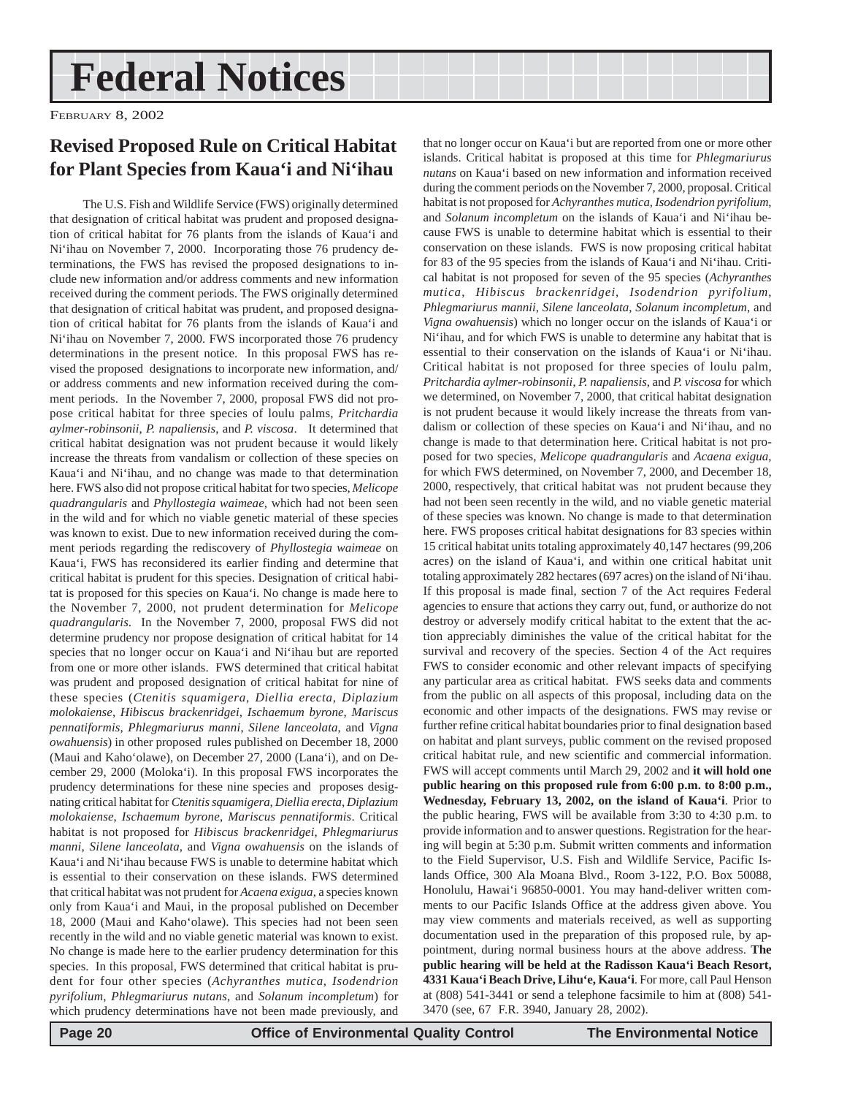# **Federal Notices**

FEBRUARY 8, 2002

# **Revised Proposed Rule on Critical Habitat for Plant Species from Kaua'i and Ni'ihau**

The U.S. Fish and Wildlife Service (FWS) originally determined that designation of critical habitat was prudent and proposed designation of critical habitat for 76 plants from the islands of Kaua'i and Ni'ihau on November 7, 2000. Incorporating those 76 prudency determinations, the FWS has revised the proposed designations to include new information and/or address comments and new information received during the comment periods. The FWS originally determined that designation of critical habitat was prudent, and proposed designation of critical habitat for 76 plants from the islands of Kaua'i and Ni'ihau on November 7, 2000. FWS incorporated those 76 prudency determinations in the present notice. In this proposal FWS has revised the proposed designations to incorporate new information, and/ or address comments and new information received during the comment periods. In the November 7, 2000, proposal FWS did not propose critical habitat for three species of loulu palms, *Pritchardia aylmer-robinsonii*, *P. napaliensis*, and *P. viscosa*. It determined that critical habitat designation was not prudent because it would likely increase the threats from vandalism or collection of these species on Kaua'i and Ni'ihau, and no change was made to that determination here. FWS also did not propose critical habitat for two species, *Melicope quadrangularis* and *Phyllostegia waimeae*, which had not been seen in the wild and for which no viable genetic material of these species was known to exist. Due to new information received during the comment periods regarding the rediscovery of *Phyllostegia waimeae* on Kaua'i, FWS has reconsidered its earlier finding and determine that critical habitat is prudent for this species. Designation of critical habitat is proposed for this species on Kaua'i. No change is made here to the November 7, 2000, not prudent determination for *Melicope quadrangularis*. In the November 7, 2000, proposal FWS did not determine prudency nor propose designation of critical habitat for 14 species that no longer occur on Kaua'i and Ni'ihau but are reported from one or more other islands. FWS determined that critical habitat was prudent and proposed designation of critical habitat for nine of these species (*Ctenitis squamigera*, *Diellia erecta*, *Diplazium molokaiense*, *Hibiscus brackenridgei*, *Ischaemum byrone*, *Mariscus pennatiformis*, *Phlegmariurus manni*, *Silene lanceolata*, and *Vigna owahuensis*) in other proposed rules published on December 18, 2000 (Maui and Kaho'olawe), on December 27, 2000 (Lana'i), and on December 29, 2000 (Moloka'i). In this proposal FWS incorporates the prudency determinations for these nine species and proposes designating critical habitat for *Ctenitis squamigera*, *Diellia erecta*, *Diplazium molokaiense*, *Ischaemum byrone*, *Mariscus pennatiformis*. Critical habitat is not proposed for *Hibiscus brackenridgei*, *Phlegmariurus manni*, *Silene lanceolata*, and *Vigna owahuensis* on the islands of Kaua'i and Ni'ihau because FWS is unable to determine habitat which is essential to their conservation on these islands. FWS determined that critical habitat was not prudent for *Acaena exigua*, a species known only from Kaua'i and Maui, in the proposal published on December 18, 2000 (Maui and Kaho'olawe). This species had not been seen recently in the wild and no viable genetic material was known to exist. No change is made here to the earlier prudency determination for this species. In this proposal, FWS determined that critical habitat is prudent for four other species (*Achyranthes mutica*, *Isodendrion pyrifolium*, *Phlegmariurus nutans*, and *Solanum incompletum*) for which prudency determinations have not been made previously, and

that no longer occur on Kaua'i but are reported from one or more other islands. Critical habitat is proposed at this time for *Phlegmariurus nutans* on Kaua'i based on new information and information received during the comment periods on the November 7, 2000, proposal. Critical habitat is not proposed for *Achyranthes mutica*, *Isodendrion pyrifolium*, and *Solanum incompletum* on the islands of Kaua'i and Ni'ihau because FWS is unable to determine habitat which is essential to their conservation on these islands. FWS is now proposing critical habitat for 83 of the 95 species from the islands of Kaua'i and Ni'ihau. Critical habitat is not proposed for seven of the 95 species (*Achyranthes mutica*, *Hibiscus brackenridgei*, *Isodendrion pyrifolium*, *Phlegmariurus mannii*, *Silene lanceolata*, *Solanum incompletum*, and *Vigna owahuensis*) which no longer occur on the islands of Kaua'i or Ni'ihau, and for which FWS is unable to determine any habitat that is essential to their conservation on the islands of Kaua'i or Ni'ihau. Critical habitat is not proposed for three species of loulu palm, *Pritchardia aylmer-robinsonii*, *P. napaliensis*, and *P. viscosa* for which we determined, on November 7, 2000, that critical habitat designation is not prudent because it would likely increase the threats from vandalism or collection of these species on Kaua'i and Ni'ihau, and no change is made to that determination here. Critical habitat is not proposed for two species, *Melicope quadrangularis* and *Acaena exigua*, for which FWS determined, on November 7, 2000, and December 18, 2000, respectively, that critical habitat was not prudent because they had not been seen recently in the wild, and no viable genetic material of these species was known. No change is made to that determination here. FWS proposes critical habitat designations for 83 species within 15 critical habitat units totaling approximately 40,147 hectares (99,206 acres) on the island of Kaua'i, and within one critical habitat unit totaling approximately 282 hectares (697 acres) on the island of Ni'ihau. If this proposal is made final, section 7 of the Act requires Federal agencies to ensure that actions they carry out, fund, or authorize do not destroy or adversely modify critical habitat to the extent that the action appreciably diminishes the value of the critical habitat for the survival and recovery of the species. Section 4 of the Act requires FWS to consider economic and other relevant impacts of specifying any particular area as critical habitat. FWS seeks data and comments from the public on all aspects of this proposal, including data on the economic and other impacts of the designations. FWS may revise or further refine critical habitat boundaries prior to final designation based on habitat and plant surveys, public comment on the revised proposed critical habitat rule, and new scientific and commercial information. FWS will accept comments until March 29, 2002 and **it will hold one public hearing on this proposed rule from 6:00 p.m. to 8:00 p.m., Wednesday, February 13, 2002, on the island of Kaua'i**. Prior to the public hearing, FWS will be available from 3:30 to 4:30 p.m. to provide information and to answer questions. Registration for the hearing will begin at 5:30 p.m. Submit written comments and information to the Field Supervisor, U.S. Fish and Wildlife Service, Pacific Islands Office, 300 Ala Moana Blvd., Room 3-122, P.O. Box 50088, Honolulu, Hawai'i 96850-0001. You may hand-deliver written comments to our Pacific Islands Office at the address given above. You may view comments and materials received, as well as supporting documentation used in the preparation of this proposed rule, by appointment, during normal business hours at the above address. **The public hearing will be held at the Radisson Kaua'i Beach Resort, 4331 Kaua'i Beach Drive, Lihu'e, Kaua'i**. For more, call Paul Henson at (808) 541-3441 or send a telephone facsimile to him at (808) 541- 3470 (see, 67 F.R. 3940, January 28, 2002).